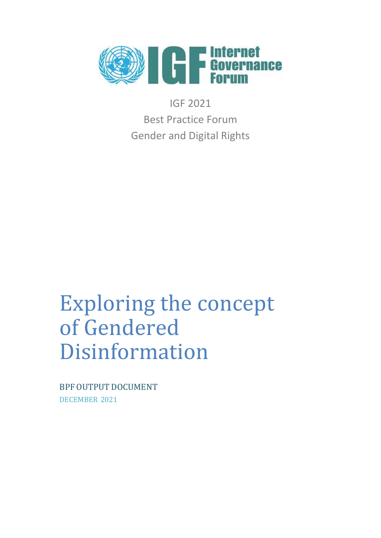

IGF 2021 Best Practice Forum Gender and Digital Rights

# Exploring the concept of Gendered Disinformation

BPF OUTPUT DOCUMENT DECEMBER 2021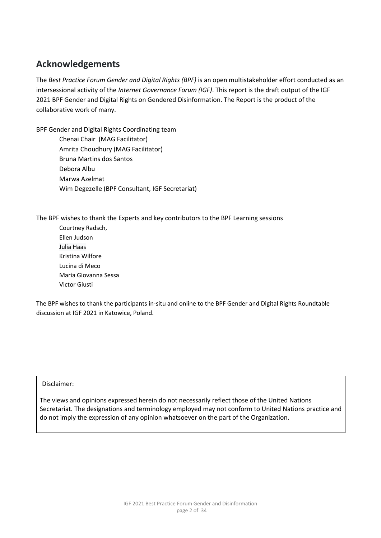# <span id="page-1-0"></span>**Acknowledgements**

The *Best Practice Forum Gender and Digital Rights (BPF)* is an open multistakeholder effort conducted as an intersessional activity of the *Internet Governance Forum (IGF)*. This report is the draft output of the IGF 2021 BPF Gender and Digital Rights on Gendered Disinformation. The Report is the product of the collaborative work of many.

BPF Gender and Digital Rights Coordinating team

 Chenai Chair (MAG Facilitator) Amrita Choudhury (MAG Facilitator) Bruna Martins dos Santos Debora Albu Marwa Azelmat Wim Degezelle (BPF Consultant, IGF Secretariat)

The BPF wishes to thank the Experts and key contributors to the BPF Learning sessions

Courtney Radsch, Ellen Judson Julia Haas Kristina Wilfore Lucina di Meco Maria Giovanna Sessa Victor Giusti

The BPF wishes to thank the participants in-situ and online to the BPF Gender and Digital Rights Roundtable discussion at IGF 2021 in Katowice, Poland.

Disclaimer:

The views and opinions expressed herein do not necessarily reflect those of the United Nations Secretariat. The designations and terminology employed may not conform to United Nations practice and do not imply the expression of any opinion whatsoever on the part of the Organization.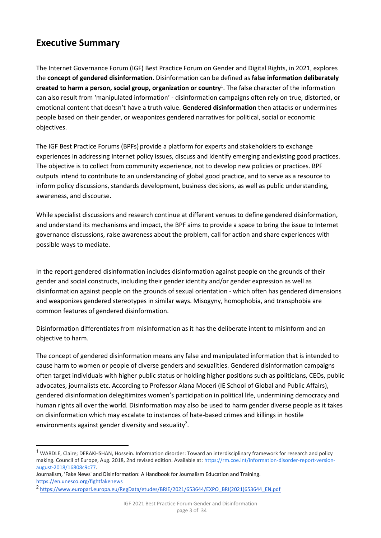# <span id="page-2-0"></span>**Executive Summary**

The Internet Governance Forum (IGF) Best Practice Forum on Gender and Digital Rights, in 2021, explores the **concept of gendered disinformation**. Disinformation can be defined as **false information deliberately created to harm a person, social group, organization or country**<sup>1</sup> . The false character of the information can also result from 'manipulated information' - disinformation campaigns often rely on true, distorted, or emotional content that doesn't have a truth value. **Gendered disinformation** then attacks or undermines people based on their gender, or weaponizes gendered narratives for political, social or economic objectives.

The IGF Best Practice Forums (BPFs) provide a platform for experts and stakeholders to exchange experiences in addressing Internet policy issues, discuss and identify emerging and existing good practices. The objective is to collect from community experience, not to develop new policies or practices. BPF outputs intend to contribute to an understanding of global good practice, and to serve as a resource to inform policy discussions, standards development, business decisions, as well as public understanding, awareness, and discourse.

While specialist discussions and research continue at different venues to define gendered disinformation, and understand its mechanisms and impact, the BPF aims to provide a space to bring the issue to Internet governance discussions, raise awareness about the problem, call for action and share experiences with possible ways to mediate.

In the report gendered disinformation includes disinformation against people on the grounds of their gender and social constructs, including their gender identity and/or gender expression as well as disinformation against people on the grounds of sexual orientation - which often has gendered dimensions and weaponizes gendered stereotypes in similar ways. Misogyny, homophobia, and transphobia are common features of gendered disinformation.

Disinformation differentiates from misinformation as it has the deliberate intent to misinform and an objective to harm.

The concept of gendered disinformation means any false and manipulated information that is intended to cause harm to women or people of diverse genders and sexualities. Gendered disinformation campaigns often target individuals with higher public status or holding higher positions such as politicians, CEOs, public advocates, journalists etc. According to Professor Alana Moceri (IE School of Global and Public Affairs), gendered disinformation delegitimizes women's participation in political life, undermining democracy and human rights all over the world. Disinformation may also be used to harm gender diverse people as it takes on disinformation which may escalate to instances of hate-based crimes and killings in hostile environments against gender diversity and sexuality<sup>2</sup>.

<sup>1</sup> WARDLE, Claire; DERAKHSHAN, Hossein. Information disorder: Toward an interdisciplinary framework for research and policy making. Council of Europe, Aug. 2018, 2nd revised edition. Available at[: https://rm.coe.int/information-disorder-report-version](https://rm.coe.int/information-disorder-report-version-august-2018/16808c9c77)[august-2018/16808c9c77.](https://rm.coe.int/information-disorder-report-version-august-2018/16808c9c77)

Journalism, 'Fake News' and Disinformation: A Handbook for Journalism Education and Training. <https://en.unesco.org/fightfakenews>

<sup>&</sup>lt;sup>2</sup> https://www.europarl.europa.eu/RegData/etudes/BRIE/2021/653644/EXPO\_BRI(2021)653644\_EN.pdf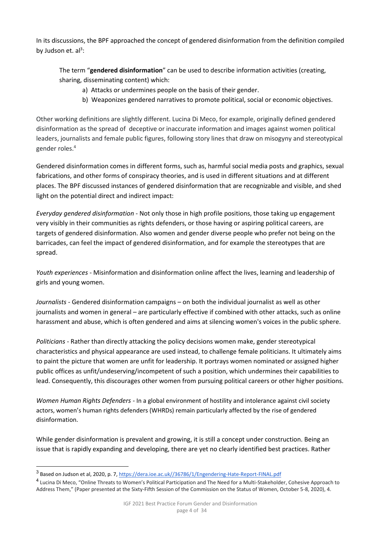In its discussions, the BPF approached the concept of gendered disinformation from the definition compiled by Judson et.  $al^3$ :

The term "**gendered disinformation**" can be used to describe information activities (creating, sharing, disseminating content) which:

- a) Attacks or undermines people on the basis of their gender.
- b) Weaponizes gendered narratives to promote political, social or economic objectives.

Other working definitions are slightly different. Lucina Di Meco, for example, originally defined gendered disinformation as the spread of deceptive or inaccurate information and images against women political leaders, journalists and female public figures, following story lines that draw on misogyny and stereotypical gender roles.<sup>4</sup>

Gendered disinformation comes in different forms, such as, harmful social media posts and graphics, sexual fabrications, and other forms of conspiracy theories, and is used in different situations and at different places. The BPF discussed instances of gendered disinformation that are recognizable and visible, and shed light on the potential direct and indirect impact:

*Everyday gendered disinformation* - Not only those in high profile positions, those taking up engagement very visibly in their communities as rights defenders, or those having or aspiring political careers, are targets of gendered disinformation. Also women and gender diverse people who prefer not being on the barricades, can feel the impact of gendered disinformation, and for example the stereotypes that are spread.

*Youth experiences* - Misinformation and disinformation online affect the lives, learning and leadership of girls and young women.

*Journalists -* Gendered disinformation campaigns – on both the individual journalist as well as other journalists and women in general – are particularly effective if combined with other attacks, such as online harassment and abuse, which is often gendered and aims at silencing women's voices in the public sphere.

*Politicians -* Rather than directly attacking the policy decisions women make, gender stereotypical characteristics and physical appearance are used instead, to challenge female politicians. It ultimately aims to paint the picture that women are unfit for leadership. It portrays women nominated or assigned higher public offices as unfit/undeserving/incompetent of such a position, which undermines their capabilities to lead. Consequently, this discourages other women from pursuing political careers or other higher positions.

*Women Human Rights Defenders -* In a global environment of hostility and intolerance against civil society actors, women's human rights defenders (WHRDs) remain particularly affected by the rise of gendered disinformation.

While gender disinformation is prevalent and growing, it is still a concept under construction. Being an issue that is rapidly expanding and developing, there are yet no clearly identified best practices. Rather

<sup>&</sup>lt;sup>3</sup> Based on Judson et al, 2020, p. 7, https://dera.ioe.ac.uk//36786/1/Engendering-Hate-Report-FINAL.pdf

<sup>&</sup>lt;sup>4</sup> Lucina Di Meco, "Online Threats to Women's Political Participation and The Need for a Multi-Stakeholder, Cohesive Approach to Address Them," (Paper presented at the Sixty-Fifth Session of the Commission on the Status of Women, October 5-8, 2020), 4.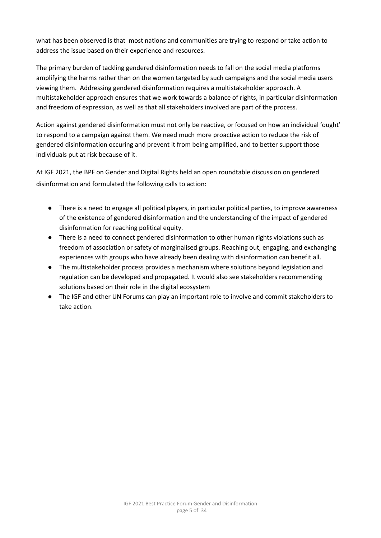what has been observed is that most nations and communities are trying to respond or take action to address the issue based on their experience and resources.

The primary burden of tackling gendered disinformation needs to fall on the social media platforms amplifying the harms rather than on the women targeted by such campaigns and the social media users viewing them. Addressing gendered disinformation requires a multistakeholder approach. A multistakeholder approach ensures that we work towards a balance of rights, in particular disinformation and freedom of expression, as well as that all stakeholders involved are part of the process.

Action against gendered disinformation must not only be reactive, or focused on how an individual 'ought' to respond to a campaign against them. We need much more proactive action to reduce the risk of gendered disinformation occuring and prevent it from being amplified, and to better support those individuals put at risk because of it.

At IGF 2021, the BPF on Gender and Digital Rights held an open roundtable discussion on gendered disinformation and formulated the following calls to action:

- There is a need to engage all political players, in particular political parties, to improve awareness of the existence of gendered disinformation and the understanding of the impact of gendered disinformation for reaching political equity.
- There is a need to connect gendered disinformation to other human rights violations such as freedom of association or safety of marginalised groups. Reaching out, engaging, and exchanging experiences with groups who have already been dealing with disinformation can benefit all.
- The multistakeholder process provides a mechanism where solutions beyond legislation and regulation can be developed and propagated. It would also see stakeholders recommending solutions based on their role in the digital ecosystem
- The IGF and other UN Forums can play an important role to involve and commit stakeholders to take action.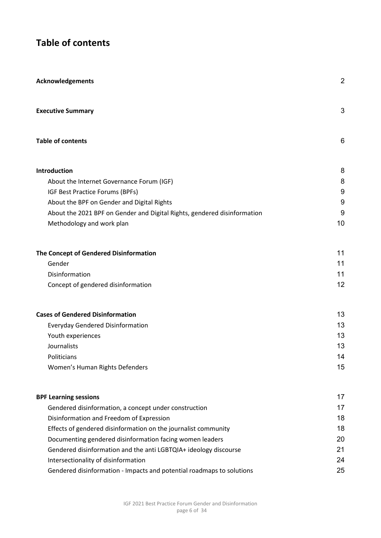# <span id="page-5-0"></span>**Table of contents**

| <b>Acknowledgements</b>                                                  | $\overline{2}$ |
|--------------------------------------------------------------------------|----------------|
| <b>Executive Summary</b>                                                 | 3              |
| <b>Table of contents</b>                                                 | 6              |
| <b>Introduction</b>                                                      | 8              |
| About the Internet Governance Forum (IGF)                                | 8              |
| IGF Best Practice Forums (BPFs)                                          | 9              |
| About the BPF on Gender and Digital Rights                               | 9              |
| About the 2021 BPF on Gender and Digital Rights, gendered disinformation | 9              |
| Methodology and work plan                                                | 10             |
| The Concept of Gendered Disinformation                                   | 11             |
| Gender                                                                   | 11             |
| Disinformation                                                           | 11             |
| Concept of gendered disinformation                                       | 12             |
| <b>Cases of Gendered Disinformation</b>                                  | 13             |
| <b>Everyday Gendered Disinformation</b>                                  | 13             |
| Youth experiences                                                        | 13             |
| Journalists                                                              | 13             |
| Politicians                                                              | 14             |
| Women's Human Rights Defenders                                           | 15             |
| <b>BPF Learning sessions</b>                                             | 17             |
| Gendered disinformation, a concept under construction                    | 17             |
| Disinformation and Freedom of Expression                                 | 18             |
| Effects of gendered disinformation on the journalist community           | 18             |
| Documenting gendered disinformation facing women leaders                 | 20             |
| Gendered disinformation and the anti LGBTQIA+ ideology discourse         | 21             |
| Intersectionality of disinformation                                      | 24             |
| Gendered disinformation - Impacts and potential roadmaps to solutions    | 25             |
|                                                                          |                |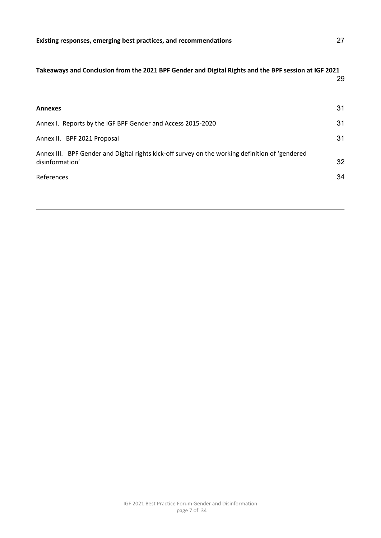#### **[Takeaways and Conclusion from the 2021 BPF Gender and Digital Rights and the BPF session at IGF 2021](#page-28-0)**

29

| <b>Annexes</b>                                                                                                                   | 31       |
|----------------------------------------------------------------------------------------------------------------------------------|----------|
| Annex I. Reports by the IGF BPF Gender and Access 2015-2020                                                                      | 31       |
| Annex II. BPF 2021 Proposal                                                                                                      | 31       |
| Annex III. BPF Gender and Digital rights kick-off survey on the working definition of 'gendered<br>disinformation'<br>References | 32<br>34 |
|                                                                                                                                  |          |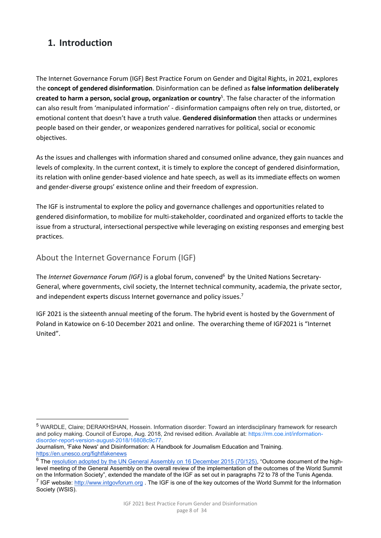# <span id="page-7-0"></span>**1. Introduction**

The Internet Governance Forum (IGF) Best Practice Forum on Gender and Digital Rights, in 2021, explores the **concept of gendered disinformation**. Disinformation can be defined as **false information deliberately created to harm a person, social group, organization or country**<sup>5</sup> . The false character of the information can also result from 'manipulated information' - disinformation campaigns often rely on true, distorted, or emotional content that doesn't have a truth value. **Gendered disinformation** then attacks or undermines people based on their gender, or weaponizes gendered narratives for political, social or economic objectives.

As the issues and challenges with information shared and consumed online advance, they gain nuances and levels of complexity. In the current context, it is timely to explore the concept of gendered disinformation, its relation with online gender-based violence and hate speech, as well as its immediate effects on women and gender-diverse groups' existence online and their freedom of expression.

The IGF is instrumental to explore the policy and governance challenges and opportunities related to gendered disinformation, to mobilize for multi-stakeholder, coordinated and organized efforts to tackle the issue from a structural, intersectional perspective while leveraging on existing responses and emerging best practices.

<span id="page-7-1"></span>About the Internet Governance Forum (IGF)

The *Internet Governance Forum (IGF)* is a global forum, convened<sup>6</sup> by the United Nations Secretary-General, where governments, civil society, the Internet technical community, academia, the private sector, and independent experts discuss Internet governance and policy issues.<sup>7</sup>

IGF 2021 is the sixteenth annual meeting of the forum. The hybrid event is hosted by the Government of Poland in Katowice on 6-10 December 2021 and online. The overarching theme of IGF2021 is "Internet United".

<sup>5</sup> WARDLE, Claire; DERAKHSHAN, Hossein. Information disorder: Toward an interdisciplinary framework for research and policy making. Council of Europe, Aug. 2018, 2nd revised edition. Available at: [https://rm.coe.int/information](https://rm.coe.int/information-disorder-report-version-august-2018/16808c9c77)[disorder-report-version-august-2018/16808c9c77.](https://rm.coe.int/information-disorder-report-version-august-2018/16808c9c77) 

Journalism, 'Fake News' and Disinformation: A Handbook for Journalism Education and Training. <https://en.unesco.org/fightfakenews>

<sup>&</sup>lt;sup>6</sup> The [resolution adopted by the UN General Assembly on 16 December 2015 \(70/125\)](https://unctad.org/en/PublicationsLibrary/ares70d125_en.pdf), "Outcome document of the highlevel meeting of the General Assembly on the overall review of the implementation of the outcomes of the World Summit on the Information Society", extended the mandate of the IGF as set out in paragraphs 72 to 78 of the Tunis Agenda. <sup>7</sup> IGF website: http://www.intgovforum.org. The IGF is one of the key outcomes of the World Summit for the Information Society (WSIS).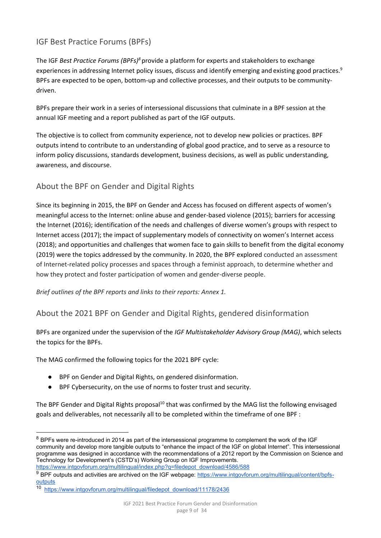# <span id="page-8-0"></span>IGF Best Practice Forums (BPFs)

The IGF *Best Practice Forums (BPFs)<sup>8</sup>* provide a platform for experts and stakeholders to exchange experiences in addressing Internet policy issues, discuss and identify emerging and existing good practices.<sup>9</sup> BPFs are expected to be open, bottom-up and collective processes, and their outputs to be communitydriven.

BPFs prepare their work in a series of intersessional discussions that culminate in a BPF session at the annual IGF meeting and a report published as part of the IGF outputs.

The objective is to collect from community experience, not to develop new policies or practices. BPF outputs intend to contribute to an understanding of global good practice, and to serve as a resource to inform policy discussions, standards development, business decisions, as well as public understanding, awareness, and discourse.

#### <span id="page-8-1"></span>About the BPF on Gender and Digital Rights

Since its beginning in 2015, the BPF on Gender and Access has focused on different aspects of women's meaningful access to the Internet: online abuse and gender-based violence (2015); barriers for accessing the Internet (2016); identification of the needs and challenges of diverse women's groups with respect to Internet access (2017); the impact of supplementary models of connectivity on women's Internet access (2018); and opportunities and challenges that women face to gain skills to benefit from the digital economy (2019) were the topics addressed by the community. In 2020, the BPF explored conducted an assessment of Internet-related policy processes and spaces through a feminist approach, to determine whether and how they protect and foster participation of women and gender-diverse people.

<span id="page-8-2"></span>*Brief outlines of the BPF reports and links to their reports: Annex 1.* 

About the 2021 BPF on Gender and Digital Rights, gendered disinformation

BPFs are organized under the supervision of the *IGF Multistakeholder Advisory Group (MAG)*, which selects the topics for the BPFs.

The MAG confirmed the following topics for the 2021 BPF cycle:

- BPF on Gender and Digital Rights, on gendered disinformation.
- BPF Cybersecurity, on the use of norms to foster trust and security.

The BPF Gender and Digital Rights proposal<sup>10</sup> that was confirmed by the MAG list the following envisaged goals and deliverables, not necessarily all to be completed within the timeframe of one BPF :

 $8$  BPFs were re-introduced in 2014 as part of the intersessional programme to complement the work of the IGF community and develop more tangible outputs to "enhance the impact of the IGF on global Internet". This intersessional programme was designed in accordance with the recommendations of a 2012 report by the Commission on Science and Technology for Development's (CSTD's) Working Group on IGF Improvements.

[https://www.intgovforum.org/multilingual/index.php?q=filedepot\\_download/4586/588](https://www.intgovforum.org/multilingual/index.php?q=filedepot_download/4586/588)

<sup>9</sup> BPF outputs and activities are archived on the IGF webpage: [https://www.intgovforum.org/multilingual/content/bpfs](https://www.intgovforum.org/multilingual/content/bpfs-outputs)[outputs](https://www.intgovforum.org/multilingual/content/bpfs-outputs) 

<sup>10</sup> [https://www.intgovforum.org/multilingual/filedepot\\_download/11178/2436](https://www.intgovforum.org/multilingual/filedepot_download/11178/2436)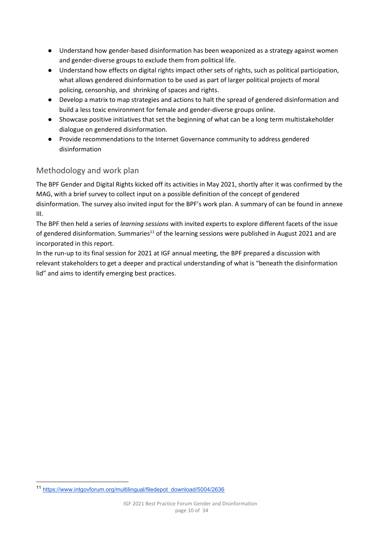- Understand how gender-based disinformation has been weaponized as a strategy against women and gender-diverse groups to exclude them from political life.
- Understand how effects on digital rights impact other sets of rights, such as political participation, what allows gendered disinformation to be used as part of larger political projects of moral policing, censorship, and shrinking of spaces and rights.
- Develop a matrix to map strategies and actions to halt the spread of gendered disinformation and build a less toxic environment for female and gender-diverse groups online.
- Showcase positive initiatives that set the beginning of what can be a long term multistakeholder dialogue on gendered disinformation.
- Provide recommendations to the Internet Governance community to address gendered disinformation

## <span id="page-9-0"></span>Methodology and work plan

The BPF Gender and Digital Rights kicked off its activities in May 2021, shortly after it was confirmed by the MAG, with a brief survey to collect input on a possible definition of the concept of gendered disinformation. The survey also invited input for the BPF's work plan. A summary of can be found in annexe III.

The BPF then held a series of *learning sessions* with invited experts to explore different facets of the issue of gendered disinformation. Summaries<sup>11</sup> of the learning sessions were published in August 2021 and are incorporated in this report.

In the run-up to its final session for 2021 at IGF annual meeting, the BPF prepared a discussion with relevant stakeholders to get a deeper and practical understanding of what is "beneath the disinformation lid" and aims to identify emerging best practices.

<sup>11</sup> [https://www.intgovforum.org/multilingual/filedepot\\_download/5004/2636](https://www.intgovforum.org/multilingual/filedepot_download/5004/2636)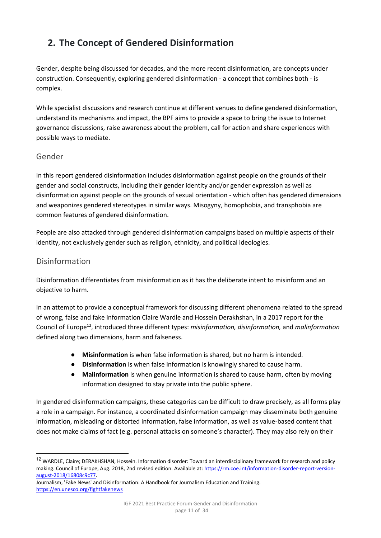# <span id="page-10-0"></span>**2. The Concept of Gendered Disinformation**

Gender, despite being discussed for decades, and the more recent disinformation, are concepts under construction. Consequently, exploring gendered disinformation - a concept that combines both - is complex.

While specialist discussions and research continue at different venues to define gendered disinformation, understand its mechanisms and impact, the BPF aims to provide a space to bring the issue to Internet governance discussions, raise awareness about the problem, call for action and share experiences with possible ways to mediate.

## <span id="page-10-1"></span>Gender

In this report gendered disinformation includes disinformation against people on the grounds of their gender and social constructs, including their gender identity and/or gender expression as well as disinformation against people on the grounds of sexual orientation - which often has gendered dimensions and weaponizes gendered stereotypes in similar ways. Misogyny, homophobia, and transphobia are common features of gendered disinformation.

People are also attacked through gendered disinformation campaigns based on multiple aspects of their identity, not exclusively gender such as religion, ethnicity, and political ideologies.

#### <span id="page-10-2"></span>Disinformation

Disinformation differentiates from misinformation as it has the deliberate intent to misinform and an objective to harm.

In an attempt to provide a conceptual framework for discussing different phenomena related to the spread of wrong, false and fake information Claire Wardle and Hossein Derakhshan, in a 2017 report for the Council of Europe<sup>12</sup>, introduced three different types: *misinformation, disinformation,* and *malinformation* defined along two dimensions, harm and falseness.

- **Misinformation** is when false information is shared, but no harm is intended.
- **Disinformation** is when false information is knowingly shared to cause harm.
- **Malinformation** is when genuine information is shared to cause harm, often by moving information designed to stay private into the public sphere.

In gendered disinformation campaigns, these categories can be difficult to draw precisely, as all forms play a role in a campaign. For instance, a coordinated disinformation campaign may disseminate both genuine information, misleading or distorted information, false information, as well as value-based content that does not make claims of fact (e.g. personal attacks on someone's character). They may also rely on their

<sup>&</sup>lt;sup>12</sup> WARDLE, Claire; DERAKHSHAN, Hossein. Information disorder: Toward an interdisciplinary framework for research and policy making. Council of Europe, Aug. 2018, 2nd revised edition. Available at[: https://rm.coe.int/information-disorder-report-version](https://rm.coe.int/information-disorder-report-version-august-2018/16808c9c77)[august-2018/16808c9c77.](https://rm.coe.int/information-disorder-report-version-august-2018/16808c9c77)

Journalism, 'Fake News' and Disinformation: A Handbook for Journalism Education and Training. <https://en.unesco.org/fightfakenews>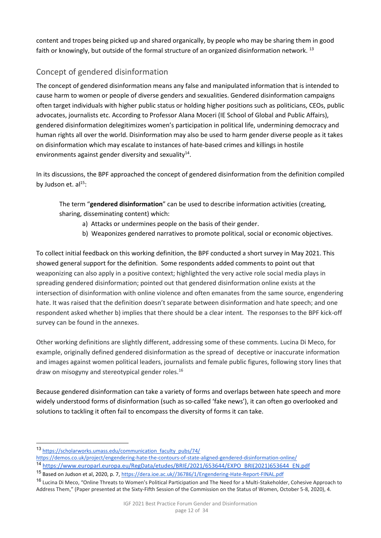content and tropes being picked up and shared organically, by people who may be sharing them in good faith or knowingly, but outside of the formal structure of an organized disinformation network.<sup>13</sup>

# <span id="page-11-0"></span>Concept of gendered disinformation

The concept of gendered disinformation means any false and manipulated information that is intended to cause harm to women or people of diverse genders and sexualities. Gendered disinformation campaigns often target individuals with higher public status or holding higher positions such as politicians, CEOs, public advocates, journalists etc. According to Professor Alana Moceri (IE School of Global and Public Affairs), gendered disinformation delegitimizes women's participation in political life, undermining democracy and human rights all over the world. Disinformation may also be used to harm gender diverse people as it takes on disinformation which may escalate to instances of hate-based crimes and killings in hostile environments against gender diversity and sexuality $^{14}$ .

In its discussions, the BPF approached the concept of gendered disinformation from the definition compiled by Judson et.  $al<sup>15</sup>$ :

The term "**gendered disinformation**" can be used to describe information activities (creating, sharing, disseminating content) which:

- a) Attacks or undermines people on the basis of their gender.
- b) Weaponizes gendered narratives to promote political, social or economic objectives.

To collect initial feedback on this working definition, the BPF conducted a short survey in May 2021. This showed general support for the definition. Some respondents added comments to point out that weaponizing can also apply in a positive context; highlighted the very active role social media plays in spreading gendered disinformation; pointed out that gendered disinformation online exists at the intersection of disinformation with online violence and often emanates from the same source, engendering hate. It was raised that the definition doesn't separate between disinformation and hate speech; and one respondent asked whether b) implies that there should be a clear intent. The responses to the BPF kick-off survey can be found in the annexes.

Other working definitions are slightly different, addressing some of these comments. Lucina Di Meco, for example, originally defined gendered disinformation as the spread of deceptive or inaccurate information and images against women political leaders, journalists and female public figures, following story lines that draw on misogyny and stereotypical gender roles.<sup>16</sup>

Because gendered disinformation can take a variety of forms and overlaps between hate speech and more widely understood forms of disinformation (such as so-called 'fake news'), it can often go overlooked and solutions to tackling it often fail to encompass the diversity of forms it can take.

<sup>13</sup> [https://scholarworks.umass.edu/communication\\_faculty\\_pubs/74/](https://scholarworks.umass.edu/communication_faculty_pubs/74/) 

<https://demos.co.uk/project/engendering-hate-the-contours-of-state-aligned-gendered-disinformation-online/>

<sup>14</sup> [https://www.europarl.europa.eu/RegData/etudes/BRIE/2021/653644/EXPO\\_BRI\(2021\)653644\\_EN.pdf](https://www.europarl.europa.eu/RegData/etudes/BRIE/2021/653644/EXPO_BRI(2021)653644_EN.pdf)  <sup>15</sup> Based on Judson et al, 2020, p. 7, [https://dera.ioe.ac.uk//36786/1/Engendering-Hate-Report-FINAL.pdf](https://dera.ioe.ac.uk/36786/1/Engendering-Hate-Report-FINAL.pdf) 

<sup>&</sup>lt;sup>16</sup> Lucina Di Meco, "Online Threats to Women's Political Participation and The Need for a Multi-Stakeholder, Cohesive Approach to Address Them," (Paper presented at the Sixty-Fifth Session of the Commission on the Status of Women, October 5-8, 2020), 4.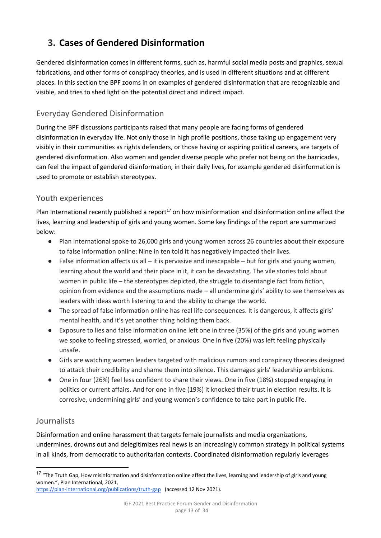# <span id="page-12-0"></span>**3. Cases of Gendered Disinformation**

Gendered disinformation comes in different forms, such as, harmful social media posts and graphics, sexual fabrications, and other forms of conspiracy theories, and is used in different situations and at different places. In this section the BPF zooms in on examples of gendered disinformation that are recognizable and visible, and tries to shed light on the potential direct and indirect impact.

## <span id="page-12-1"></span>Everyday Gendered Disinformation

During the BPF discussions participants raised that many people are facing forms of gendered disinformation in everyday life. Not only those in high profile positions, those taking up engagement very visibly in their communities as rights defenders, or those having or aspiring political careers, are targets of gendered disinformation. Also women and gender diverse people who prefer not being on the barricades, can feel the impact of gendered disinformation, in their daily lives, for example gendered disinformation is used to promote or establish stereotypes.

## <span id="page-12-2"></span>Youth experiences

Plan International recently published a report<sup>17</sup> on how misinformation and disinformation online affect the lives, learning and leadership of girls and young women. Some key findings of the report are summarized below:

- Plan International spoke to 26,000 girls and young women across 26 countries about their exposure to false information online: Nine in ten told it has negatively impacted their lives.
- $\bullet$  False information affects us all it is pervasive and inescapable but for girls and young women, learning about the world and their place in it, it can be devastating. The vile stories told about women in public life – the stereotypes depicted, the struggle to disentangle fact from fiction, opinion from evidence and the assumptions made – all undermine girls' ability to see themselves as leaders with ideas worth listening to and the ability to change the world.
- The spread of false information online has real life consequences. It is dangerous, it affects girls' mental health, and it's yet another thing holding them back.
- Exposure to lies and false information online left one in three (35%) of the girls and young women we spoke to feeling stressed, worried, or anxious. One in five (20%) was left feeling physically unsafe.
- Girls are watching women leaders targeted with malicious rumors and conspiracy theories designed to attack their credibility and shame them into silence. This damages girls' leadership ambitions.
- One in four (26%) feel less confident to share their views. One in five (18%) stopped engaging in politics or current affairs. And for one in five (19%) it knocked their trust in election results. It is corrosive, undermining girls' and young women's confidence to take part in public life.

## <span id="page-12-3"></span>Journalists

Disinformation and online harassment that targets female journalists and media organizations, undermines, drowns out and delegitimizes real news is an increasingly common strategy in political systems in all kinds, from democratic to authoritarian contexts. Coordinated disinformation regularly leverages

<sup>&</sup>lt;sup>17</sup> "The Truth Gap, How misinformation and disinformation online affect the lives, learning and leadership of girls and young women.", Plan International, 2021,

<https://plan-international.org/publications/truth-gap>(accessed 12 Nov 2021).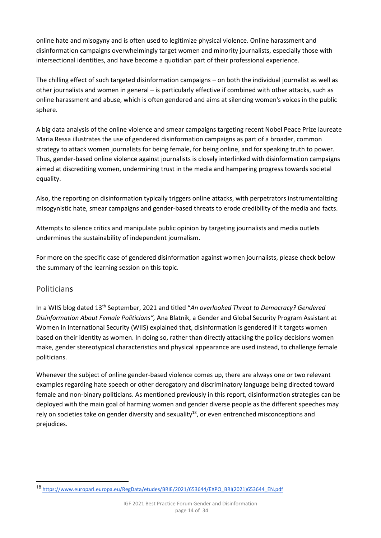online hate and misogyny and is often used to legitimize physical violence. Online harassment and disinformation campaigns overwhelmingly target women and minority journalists, especially those with intersectional identities, and have become a quotidian part of their professional experience.

The chilling effect of such targeted disinformation campaigns – on both the individual journalist as well as other journalists and women in general – is particularly effective if combined with other attacks, such as online harassment and abuse, which is often gendered and aims at silencing women's voices in the public sphere.

A big data analysis of the online violence and smear campaigns targeting recent Nobel Peace Prize laureate Maria Ressa illustrates the use of gendered disinformation campaigns as part of a broader, common strategy to attack women journalists for being female, for being online, and for speaking truth to power. Thus, gender-based online violence against journalists is closely interlinked with disinformation campaigns aimed at discrediting women, undermining trust in the media and hampering progress towards societal equality.

Also, the reporting on disinformation typically triggers online attacks, with perpetrators instrumentalizing misogynistic hate, smear campaigns and gender-based threats to erode credibility of the media and facts.

Attempts to silence critics and manipulate public opinion by targeting journalists and media outlets undermines the sustainability of independent journalism.

For more on the specific case of gendered disinformation against women journalists, please check below the summary of the learning session on this topic.

#### <span id="page-13-0"></span>Politicians

In a WIIS blog dated 13th September, 2021 and titled "*An overlooked Threat to Democracy? Gendered Disinformation About Female Politicians",* Ana Blatnik, a Gender and Global Security Program Assistant at Women in International Security (WIIS) explained that, disinformation is gendered if it targets women based on their identity as women. In doing so, rather than directly attacking the policy decisions women make, gender stereotypical characteristics and physical appearance are used instead, to challenge female politicians.

Whenever the subject of online gender-based violence comes up, there are always one or two relevant examples regarding hate speech or other derogatory and discriminatory language being directed toward female and non-binary politicians. As mentioned previously in this report, disinformation strategies can be deployed with the main goal of harming women and gender diverse people as the different speeches may rely on societies take on gender diversity and sexuality<sup>18</sup>, or even entrenched misconceptions and prejudices.

<sup>18</sup> [https://www.europarl.europa.eu/RegData/etudes/BRIE/2021/653644/EXPO\\_BRI\(2021\)653644\\_EN.pdf](https://www.europarl.europa.eu/RegData/etudes/BRIE/2021/653644/EXPO_BRI(2021)653644_EN.pdf)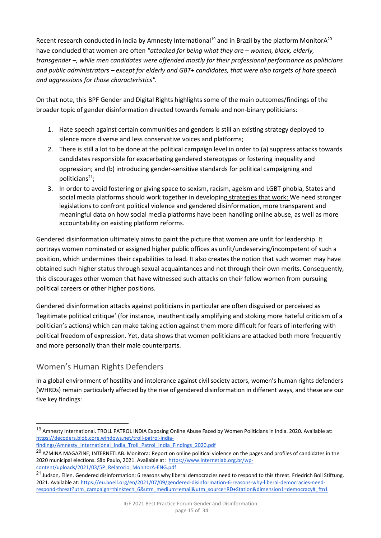Recent research conducted in India by Amnesty International<sup>19</sup> and in Brazil by the platform MonitorA<sup>20</sup> have concluded that women are often *"attacked for being what they are – women, black, elderly, transgender –, while men candidates were offended mostly for their professional performance as politicians and public administrators – except for elderly and GBT+ candidates, that were also targets of hate speech and aggressions for those characteristics".* 

On that note, this BPF Gender and Digital Rights highlights some of the main outcomes/findings of the broader topic of gender disinformation directed towards female and non-binary politicians:

- 1. Hate speech against certain communities and genders is still an existing strategy deployed to silence more diverse and less conservative voices and platforms;
- 2. There is still a lot to be done at the political campaign level in order to (a) suppress attacks towards candidates responsible for exacerbating gendered stereotypes or fostering inequality and oppression; and (b) introducing gender-sensitive standards for political campaigning and politicians $21$ ;
- 3. In order to avoid fostering or giving space to sexism, racism, ageism and LGBT phobia, States and social media platforms should work together in developing strategies that work: We need stronger legislations to confront political violence and gendered disinformation, more transparent and meaningful data on how social media platforms have been handling online abuse, as well as more accountability on existing platform reforms.

Gendered disinformation ultimately aims to paint the picture that women are unfit for leadership. It portrays women nominated or assigned higher public offices as unfit/undeserving/incompetent of such a position, which undermines their capabilities to lead. It also creates the notion that such women may have obtained such higher status through sexual acquaintances and not through their own merits. Consequently, this discourages other women that have witnessed such attacks on their fellow women from pursuing political careers or other higher positions.

Gendered disinformation attacks against politicians in particular are often disguised or perceived as 'legitimate political critique' (for instance, inauthentically amplifying and stoking more hateful criticism of a politician's actions) which can make taking action against them more difficult for fears of interfering with political freedom of expression. Yet, data shows that women politicians are attacked both more frequently and more personally than their male counterparts.

## <span id="page-14-0"></span>Women's Human Rights Defenders

In a global environment of hostility and intolerance against civil society actors, women's human rights defenders (WHRDs) remain particularly affected by the rise of gendered disinformation in different ways, and these are our five key findings:

<sup>19</sup> Amnesty International. TROLL PATROL INDIA Exposing Online Abuse Faced by Women Politicians in India. 2020. Available at: [https://decoders.blob.core.windows.net/troll-patrol-india-](https://decoders.blob.core.windows.net/troll-patrol-india-findings/Amnesty_International_India_Troll_Patrol_India_Findings_2020.pdf)

[findings/Amnesty\\_International\\_India\\_Troll\\_Patrol\\_India\\_Findings\\_2020.pdf](https://decoders.blob.core.windows.net/troll-patrol-india-findings/Amnesty_International_India_Troll_Patrol_India_Findings_2020.pdf) 

<sup>&</sup>lt;sup>20</sup> AZMINA MAGAZINE; INTERNETLAB. Monitora: Report on online political violence on the pages and profiles of candidates in the 2020 municipal elections. São Paulo, 2021. Available at: [https://www.internetlab.org.br/wp](https://www.internetlab.org.br/wp-content/uploads/2021/03/5P_Relatorio_MonitorA-ENG.pdf)[content/uploads/2021/03/5P\\_Relatorio\\_MonitorA-ENG.pdf](https://www.internetlab.org.br/wp-content/uploads/2021/03/5P_Relatorio_MonitorA-ENG.pdf) 

<sup>&</sup>lt;sup>21</sup> Judson, Ellen. Gendered disinformation: 6 reasons why liberal democracies need to respond to this threat. Friedrich Boll Stiftung. 2021. Available at[: https://eu.boell.org/en/2021/07/09/gendered-disinformation-6-reasons-why-liberal-democracies-need](https://eu.boell.org/en/2021/07/09/gendered-disinformation-6-reasons-why-liberal-democracies-need-respond-threat?utm_campaign=thinktech_6&utm_medium=email&utm_source=RD+Station&dimension1=democracy#_ftn1)respond-threat?utm\_campaign=thinktech\_6&utm\_medium=email&utm\_source=RD+Station&dimension1=democracy#\_ftn1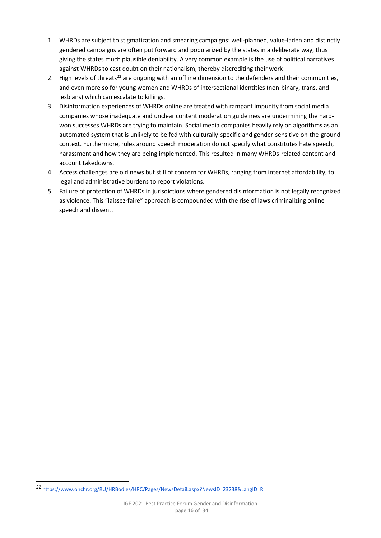- 1. WHRDs are subject to stigmatization and smearing campaigns: well-planned, value-laden and distinctly gendered campaigns are often put forward and popularized by the states in a deliberate way, thus giving the states much plausible deniability. A very common example is the use of political narratives against WHRDs to cast doubt on their nationalism, thereby discrediting their work
- 2. High levels of threats<sup>22</sup> are ongoing with an offline dimension to the defenders and their communities, and even more so for young women and WHRDs of intersectional identities (non-binary, trans, and lesbians) which can escalate to killings.
- 3. Disinformation experiences of WHRDs online are treated with rampant impunity from social media companies whose inadequate and unclear content moderation guidelines are undermining the hardwon successes WHRDs are trying to maintain. Social media companies heavily rely on algorithms as an automated system that is unlikely to be fed with culturally-specific and gender-sensitive on-the-ground context. Furthermore, rules around speech moderation do not specify what constitutes hate speech, harassment and how they are being implemented. This resulted in many WHRDs-related content and account takedowns.
- 4. Access challenges are old news but still of concern for WHRDs, ranging from internet affordability, to legal and administrative burdens to report violations.
- 5. Failure of protection of WHRDs in jurisdictions where gendered disinformation is not legally recognized as violence. This "laissez-faire" approach is compounded with the rise of laws criminalizing online speech and dissent.

<sup>22</sup> <https://www.ohchr.org/RU/HRBodies/HRC/Pages/NewsDetail.aspx?NewsID=23238&LangID=R>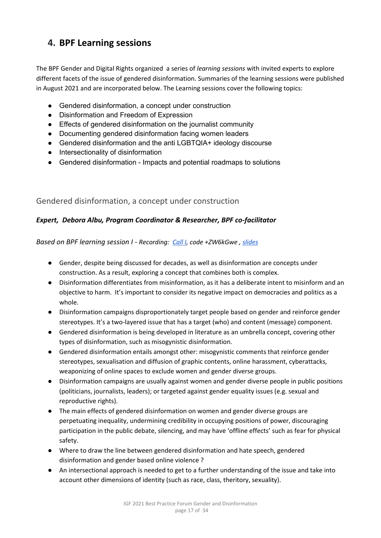# <span id="page-16-0"></span>**4. BPF Learning sessions**

The BPF Gender and Digital Rights organized a series of *learning sessions* with invited experts to explore different facets of the issue of gendered disinformation. Summaries of the learning sessions were published in August 2021 and are incorporated below. The Learning sessions cover the following topics:

- Gendered disinformation, a concept under construction
- Disinformation and Freedom of Expression
- Effects of gendered disinformation on the journalist community
- Documenting gendered disinformation facing women leaders
- Gendered disinformation and the anti LGBTQIA+ ideology discourse
- Intersectionality of disinformation
- Gendered disinformation Impacts and potential roadmaps to solutions

#### <span id="page-16-1"></span>Gendered disinformation, a concept under construction

#### *Expert, Debora Albu, Program Coordinator & Researcher, BPF co-facilitator*

*Based on BPF learning session I - Recording: [Call I,](https://intgovforum.zoom.us/rec/share/LUzCY2xk76ENMDW9BOXCh3PTHEv5pvLblktko3zuZr00yt1X4H33OKQtB-n50BFf.46EcXf01BVGf5a_u?startTime=1621344402000) code +ZW6kGwe , [slides](https://www.intgovforum.org/multilingual/filedepot_download/3405/2549)*

- Gender, despite being discussed for decades, as well as disinformation are concepts under construction. As a result, exploring a concept that combines both is complex.
- Disinformation differentiates from misinformation, as it has a deliberate intent to misinform and an objective to harm. It's important to consider its negative impact on democracies and politics as a whole.
- Disinformation campaigns disproportionately target people based on gender and reinforce gender stereotypes. It's a two-layered issue that has a target (who) and content (message) component.
- Gendered disinformation is being developed in literature as an umbrella concept, covering other types of disinformation, such as misogynistic disinformation.
- Gendered disinformation entails amongst other: misogynistic comments that reinforce gender stereotypes, sexualisation and diffusion of graphic contents, online harassment, cyberattacks, weaponizing of online spaces to exclude women and gender diverse groups.
- Disinformation campaigns are usually against women and gender diverse people in public positions (politicians, journalists, leaders); or targeted against gender equality issues (e.g. sexual and reproductive rights).
- The main effects of gendered disinformation on women and gender diverse groups are perpetuating inequality, undermining credibility in occupying positions of power, discouraging participation in the public debate, silencing, and may have 'offline effects' such as fear for physical safety.
- Where to draw the line between gendered disinformation and hate speech, gendered disinformation and gender based online violence ?
- An intersectional approach is needed to get to a further understanding of the issue and take into account other dimensions of identity (such as race, class, theritory, sexuality).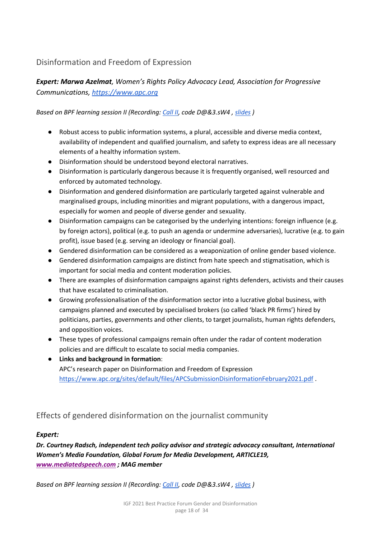#### <span id="page-17-0"></span>Disinformation and Freedom of Expression

*Expert: Marwa Azelmat, Women's Rights Policy Advocacy Lead, Association for Progressive Communications, [https://www.apc.org](https://www.apc.org/)* 

*Based on BPF learning session II (Recording: [Call II,](https://intgovforum.zoom.us/rec/share/wKrNu0QFG27vA5eyEkHHfVtxnXkipqo6akmkCeAo_2HeLN8nzREeYBHQ4WjKooNJ.RQDGzLVDRkv3hX0j) code D@&3.sW4 , [slides](https://www.intgovforum.org/multilingual/filedepot_download/3405/2560) )* 

- Robust access to public information systems, a plural, accessible and diverse media context, availability of independent and qualified journalism, and safety to express ideas are all necessary elements of a healthy information system.
- Disinformation should be understood beyond electoral narratives.
- Disinformation is particularly dangerous because it is frequently organised, well resourced and enforced by automated technology.
- Disinformation and gendered disinformation are particularly targeted against vulnerable and marginalised groups, including minorities and migrant populations, with a dangerous impact, especially for women and people of diverse gender and sexuality.
- Disinformation campaigns can be categorised by the underlying intentions: foreign influence (e.g. by foreign actors), political (e.g. to push an agenda or undermine adversaries), lucrative (e.g. to gain profit), issue based (e.g. serving an ideology or financial goal).
- Gendered disinformation can be considered as a weaponization of online gender based violence.
- Gendered disinformation campaigns are distinct from hate speech and stigmatisation, which is important for social media and content moderation policies.
- There are examples of disinformation campaigns against rights defenders, activists and their causes that have escalated to criminalisation.
- Growing professionalisation of the disinformation sector into a lucrative global business, with campaigns planned and executed by specialised brokers (so called 'black PR firms') hired by politicians, parties, governments and other clients, to target journalists, human rights defenders, and opposition voices.
- These types of professional campaigns remain often under the radar of content moderation policies and are difficult to escalate to social media companies.
- **Links and background in formation**: APC's research paper on Disinformation and Freedom of Expression <https://www.apc.org/sites/default/files/APCSubmissionDisinformationFebruary2021.pdf>.

## <span id="page-17-1"></span>Effects of gendered disinformation on the journalist community

#### *Expert:*

*Dr. Courtney Radsch, independent tech policy advisor and strategic advocacy consultant, International Women's Media Foundation, Global Forum for Media Development, ARTICLE19, [www.mediatedspeech.com](http://www.mediatedspeech.com/) ; MAG member* 

*Based on BPF learning session II (Recording: [Call II,](https://intgovforum.zoom.us/rec/share/wKrNu0QFG27vA5eyEkHHfVtxnXkipqo6akmkCeAo_2HeLN8nzREeYBHQ4WjKooNJ.RQDGzLVDRkv3hX0j) code D@&3.sW4 , [slides](https://www.intgovforum.org/multilingual/filedepot_download/3405/2560) )*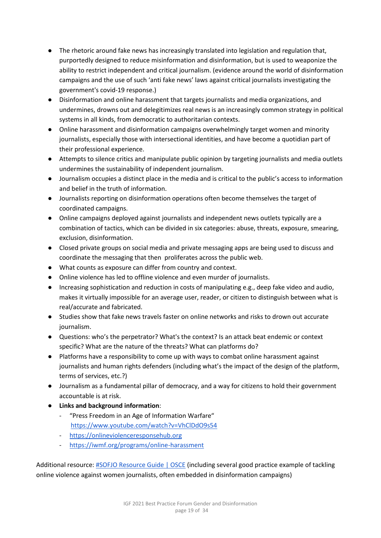- The rhetoric around fake news has increasingly translated into legislation and regulation that, purportedly designed to reduce misinformation and disinformation, but is used to weaponize the ability to restrict independent and critical journalism. (evidence around the world of disinformation campaigns and the use of such 'anti fake news' laws against critical journalists investigating the government's covid-19 response.)
- Disinformation and online harassment that targets journalists and media organizations, and undermines, drowns out and delegitimizes real news is an increasingly common strategy in political systems in all kinds, from democratic to authoritarian contexts.
- Online harassment and disinformation campaigns overwhelmingly target women and minority journalists, especially those with intersectional identities, and have become a quotidian part of their professional experience.
- Attempts to silence critics and manipulate public opinion by targeting journalists and media outlets undermines the sustainability of independent journalism.
- Journalism occupies a distinct place in the media and is critical to the public's access to information and belief in the truth of information.
- Journalists reporting on disinformation operations often become themselves the target of coordinated campaigns.
- Online campaigns deployed against journalists and independent news outlets typically are a combination of tactics, which can be divided in six categories: abuse, threats, exposure, smearing, exclusion, disinformation.
- Closed private groups on social media and private messaging apps are being used to discuss and coordinate the messaging that then proliferates across the public web.
- What counts as exposure can differ from country and context.
- Online violence has led to offline violence and even murder of journalists.
- Increasing sophistication and reduction in costs of manipulating e.g., deep fake video and audio, makes it virtually impossible for an average user, reader, or citizen to distinguish between what is real/accurate and fabricated.
- Studies show that fake news travels faster on online networks and risks to drown out accurate journalism.
- Questions: who's the perpetrator? What's the context? Is an attack beat endemic or context specific? What are the nature of the threats? What can platforms do?
- Platforms have a responsibility to come up with ways to combat online harassment against journalists and human rights defenders (including what's the impact of the design of the platform, terms of services, etc.?)
- Journalism as a fundamental pillar of democracy, and a way for citizens to hold their government accountable is at risk.
- **Links and background information**:
	- "Press Freedom in an Age of Information Warfare" <https://www.youtube.com/watch?v=VhClDdO9s54>
	- [https://onlineviolenceresponsehub.org](https://onlineviolenceresponsehub.org/)
	- <https://iwmf.org/programs/online-harassment>

Additional resource: [#SOFJO Resource Guide | OSCE](https://www.osce.org/representative-on-freedom-of-media/471903) (including several good practice example of tackling online violence against women journalists, often embedded in disinformation campaigns)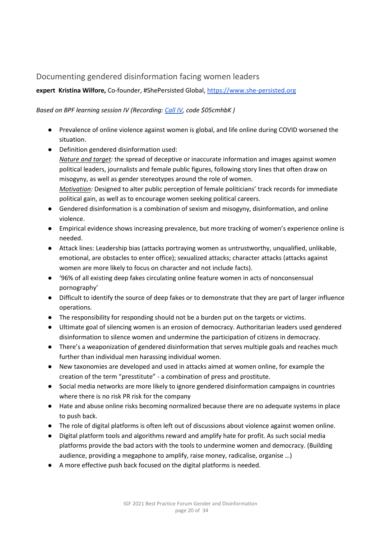#### <span id="page-19-0"></span>Documenting gendered disinformation facing women leaders

#### **expert Kristina Wilfore,** Co-founder, #ShePersisted Global[, https://www.she-persisted.org](https://www.she-persisted.org/)

*Based on BPF learning session IV (Recording[: Call IV,](https://intgovforum.zoom.us/rec/play/qADdRwtadbr3l8hvHpZe-c8TML355LzPx7hCcr6SLVe62UpU9TWkRf7wR-ClCXbKrvWJJVTWu4peXEu4.vpfYav5MGE-oKoqb) code \$05cmhbK )*

- Prevalence of online violence against women is global, and life online during COVID worsened the situation.
- Definition gendered disinformation used: *Nature and target:* the spread of deceptive or inaccurate information and images against *women* political leaders, journalists and female public figures, following story lines that often draw on misogyny, as well as gender stereotypes around the role of women. *Motivation:* Designed to alter public perception of female politicians' track records for immediate political gain, as well as to encourage women seeking political careers.
- Gendered disinformation is a combination of sexism and misogyny, disinformation, and online violence.
- Empirical evidence shows increasing prevalence, but more tracking of women's experience online is needed.
- Attack lines: Leadership bias (attacks portraying women as untrustworthy, unqualified, unlikable, emotional, are obstacles to enter office); sexualized attacks; character attacks (attacks against women are more likely to focus on character and not include facts).
- '96% of all existing deep fakes circulating online feature women in acts of nonconsensual pornography'
- Difficult to identify the source of deep fakes or to demonstrate that they are part of larger influence operations.
- The responsibility for responding should not be a burden put on the targets or victims.
- Ultimate goal of silencing women is an erosion of democracy. Authoritarian leaders used gendered disinformation to silence women and undermine the participation of citizens in democracy.
- There's a weaponization of gendered disinformation that serves multiple goals and reaches much further than individual men harassing individual women.
- New taxonomies are developed and used in attacks aimed at women online, for example the creation of the term "presstitute" - a combination of press and prostitute.
- Social media networks are more likely to ignore gendered disinformation campaigns in countries where there is no risk PR risk for the company
- Hate and abuse online risks becoming normalized because there are no adequate systems in place to push back.
- The role of digital platforms is often left out of discussions about violence against women online.
- Digital platform tools and algorithms reward and amplify hate for profit. As such social media platforms provide the bad actors with the tools to undermine women and democracy. (Building audience, providing a megaphone to amplify, raise money, radicalise, organise …)
- A more effective push back focused on the digital platforms is needed.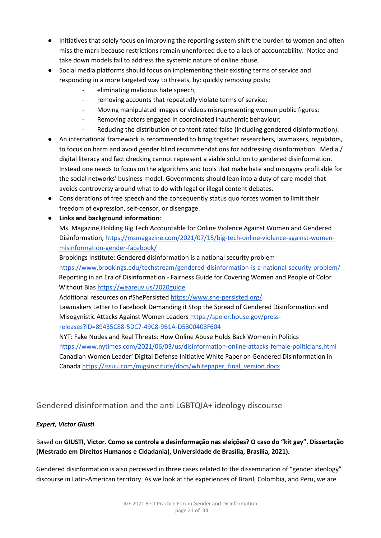- Initiatives that solely focus on improving the reporting system shift the burden to women and often miss the mark because restrictions remain unenforced due to a lack of accountability. Notice and take down models fail to address the systemic nature of online abuse.
- Social media platforms should focus on implementing their existing terms of service and responding in a more targeted way to threats, by: quickly removing posts;
	- eliminating malicious hate speech;
		- removing accounts that repeatedly violate terms of service;
	- Moving manipulated images or videos misrepresenting women public figures;
	- Removing actors engaged in coordinated inauthentic behaviour;
	- Reducing the distribution of content rated false (including gendered disinformation).
- An international framework is recommended to bring together researchers, lawmakers, regulators, to focus on harm and avoid gender blind recommendations for addressing disinformation. Media / digital literacy and fact checking cannot represent a viable solution to gendered disinformation. Instead one needs to focus on the algorithms and tools that make hate and misogyny profitable for the social networks' business model. Governments should lean into a duty of care model that avoids controversy around what to do with legal or illegal content debates.
- Considerations of free speech and the consequently status quo forces women to limit their freedom of expression, self-censor, or disengage.
- **Links and background information**:
	- Ms. Magazine,Holding Big Tech Accountable for Online Violence Against Women and Gendered Disinformation[, https://msmagazine.com/2021/07/15/big-tech-online-violence-against-women](https://msmagazine.com/2021/07/15/big-tech-online-violence-against-women-misinformation-gender-facebook/)[misinformation-gender-facebook/](https://msmagazine.com/2021/07/15/big-tech-online-violence-against-women-misinformation-gender-facebook/)

Brookings Institute: Gendered disinformation is a national security problem <https://www.brookings.edu/techstream/gendered-disinformation-is-a-national-security-problem/> Reporting in an Era of Disinformation - Fairness Guide for Covering Women and People of Color Without Bias<https://weareuv.us/2020guide>

Additional resources on #ShePersiste[d https://www.she-persisted.org/](https://www.she-persisted.org/) 

Lawmakers Letter to Facebook Demanding it Stop the Spread of Gendered Disinformation and Misogynistic Attacks Against Women Leaders [https://speier.house.gov/press](https://speier.house.gov/press-releases?ID=89435C88-5DC7-49C8-9B1A-D5300408F604)[releases?ID=89435C88-5DC7-49C8-9B1A-D5300408F604](https://speier.house.gov/press-releases?ID=89435C88-5DC7-49C8-9B1A-D5300408F604) 

NYT: Fake Nudes and Real Threats: How Online Abuse Holds Back Women in Politics <https://www.nytimes.com/2021/06/03/us/disinformation-online-attacks-female-politicians.html> Canadian Women Leader' Digital Defense Initiative White Paper on Gendered Disinformation in Canada https://issuu.com/migsinstitute/docs/whitepaper\_final\_version.docx

#### <span id="page-20-0"></span>Gendered disinformation and the anti LGBTQIA+ ideology discourse

#### *Expert, Victor Giusti*

#### Based on **GIUSTI, Victor. Como se controla a desinformação nas eleições? O caso do "kit gay". Dissertação (Mestrado em Direitos Humanos e Cidadania), Universidade de Brasília, Brasília, 2021).**

Gendered disinformation is also perceived in three cases related to the dissemination of "gender ideology" discourse in Latin-American territory. As we look at the experiences of Brazil, Colombia, and Peru, we are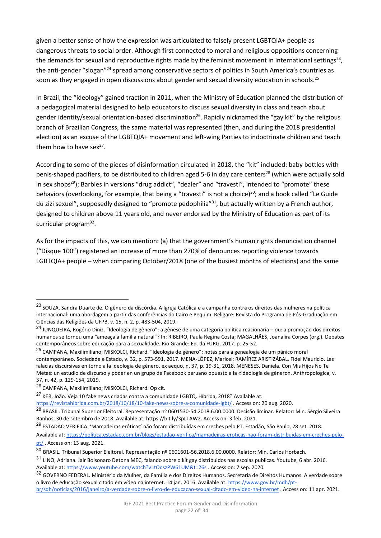given a better sense of how the expression was articulated to falsely present LGBTQIA+ people as dangerous threats to social order. Although first connected to moral and religious oppositions concerning the demands for sexual and reproductive rights made by the feminist movement in international settings<sup>23</sup>, the anti-gender "slogan"<sup>24</sup> spread among conservative sectors of politics in South America's countries as soon as they engaged in open discussions about gender and sexual diversity education in schools.<sup>25</sup>

In Brazil, the "ideology" gained traction in 2011, when the Ministry of Education planned the distribution of a pedagogical material designed to help educators to discuss sexual diversity in class and teach about gender identity/sexual orientation-based discrimination<sup>26</sup>. Rapidly nicknamed the "gay kit" by the religious branch of Brazilian Congress, the same material was represented (then, and during the 2018 presidential election) as an excuse of the LGBTQIA+ movement and left-wing Parties to indoctrinate children and teach them how to have sex $27$ .

According to some of the pieces of disinformation circulated in 2018, the "kit" included: baby bottles with penis-shaped pacifiers, to be distributed to children aged 5-6 in day care centers<sup>28</sup> (which were actually sold in sex shops<sup>29</sup>); Barbies in versions "drug addict", "dealer" and "travesti", intended to "promote" these behaviors (overlooking, for example, that being a "travesti" is not a choice)<sup>30</sup>; and a book called "Le Guide du zizi sexuel", supposedly designed to "promote pedophilia"<sup>31</sup>, but actually written by a French author, designed to children above 11 years old, and never endorsed by the Ministry of Education as part of its curricular program<sup>32</sup>.

As for the impacts of this, we can mention: (a) that the government's human rights denunciation channel ("Disque 100") registered an increase of more than 270% of denounces reporting violence towards LGBTQIA+ people – when comparing October/2018 (one of the busiest months of elections) and the same

<sup>27</sup> KER, João. Veja 10 fake news criadas contra a comunidade LGBTQ. Híbrida, 2018? Available at:

<sup>23</sup> SOUZA, Sandra Duarte de. O gênero da discórdia. A Igreja Católica e a campanha contra os direitos das mulheres na política internacional: uma abordagem a partir das conferências do Cairo e Pequim. Religare: Revista do Programa de Pós-Graduação em Ciências das Religiões da UFPB, v. 15, n. 2, p. 483-504, 2019.

<sup>24</sup> JUNQUEIRA, Rogério Diniz. "Ideologia de gênero": a gênese de uma categoria política reacionária – ou: a promoção dos direitos humanos se tornou uma "ameaça à família natural"? In: RIBEIRO, Paula Regina Costa; MAGALHÃES, Joanalira Corpes (org.). Debates contemporâneos sobre educação para a sexualidade. Rio Grande: Ed. da FURG, 2017. p. 25-52.

<sup>&</sup>lt;sup>25</sup> CAMPANA, Maxilimiliano; MISKOLCI, Richard. "Ideologia de gênero": notas para a genealogia de um pânico moral contemporâneo. Sociedade e Estado, v. 32, p. 573-591, 2017. MENA-LÓPEZ, Maricel; RAMÍREZ ARISTIZÁBAL, Fidel Mauricio. Las falacias discursivas en torno a la ideología de género. ex aequo, n. 37, p. 19-31, 2018. MENESES, Daniela. Con Mis Hijos No Te Metas: un estudio de discurso y poder en un grupo de Facebook peruano opuesto a la «ideología de género». Anthropologica, v. 37, n. 42, p. 129-154, 2019.

<sup>26</sup> CAMPANA, Maxilimiliano; MISKOLCI, Richard. Op cit.

[https://revistahibrida.com.br/2018/10/18/10-fake-news-sobre-a-comunidade-lgbt/ .](https://revistahibrida.com.br/2018/10/18/10-fake-news-sobre-a-comunidade-lgbt/) Access on: 20 aug. 2020.

<sup>&</sup>lt;sup>28</sup> BRASIL. Tribunal Superior Eleitoral. Representação nº 0601530-54.2018.6.00.0000. Decisão liminar. Relator: Min. Sérgio Silveira Banhos, 30 de setembro de 2018. Available at: https://bit.ly/3pLTAW2. Access on: 3 feb. 2021.

<sup>&</sup>lt;sup>29</sup> ESTADÃO VERIFICA. 'Mamadeiras eróticas' não foram distribuídas em creches pelo PT. Estadão, São Paulo, 28 set. 2018.

Available at: [https://politica.estadao.com.br/blogs/estadao-verifica/mamadeiras-eroticas-nao-foram-distribuidas-em-creches-pelo](https://politica.estadao.com.br/blogs/estadao-verifica/mamadeiras-eroticas-nao-foram-distribuidas-em-creches-pelo-pt/)[pt/ .](https://politica.estadao.com.br/blogs/estadao-verifica/mamadeiras-eroticas-nao-foram-distribuidas-em-creches-pelo-pt/) Access on: 13 aug. 2021.

<sup>30</sup> BRASIL. Tribunal Superior Eleitoral. Representação nº 0601601-56.2018.6.00.0000. Relator: Min. Carlos Horbach.

<sup>31</sup> LINO, Adriana. Jair Bolsonaro Detona MEC, falando sobre o kit gay distribuidos nas escolas publicas. Youtube, 6 abr. 2016. Available at:<https://www.youtube.com/watch?v=tOdszPW61UM&t=26s>. Access on: 7 sep. 2020.

<sup>32</sup> GOVERNO FEDERAL. Ministério da Mulher, da Família e dos Direitos Humanos. Secretaria de Direitos Humanos. A verdade sobre o livro de educação sexual citado em vídeo na internet. 14 jan. 2016. Available at[: https://www.gov.br/mdh/pt](https://www.gov.br/mdh/pt-br/sdh/noticias/2016/janeiro/a-verdade-sobre-o-livro-de-educacao-sexual-citado-em-video-na-internet)[br/sdh/noticias/2016/janeiro/a-verdade-sobre-o-livro-de-educacao-sexual-citado-em-video-na-internet .](https://www.gov.br/mdh/pt-br/sdh/noticias/2016/janeiro/a-verdade-sobre-o-livro-de-educacao-sexual-citado-em-video-na-internet) Access on: 11 apr. 2021.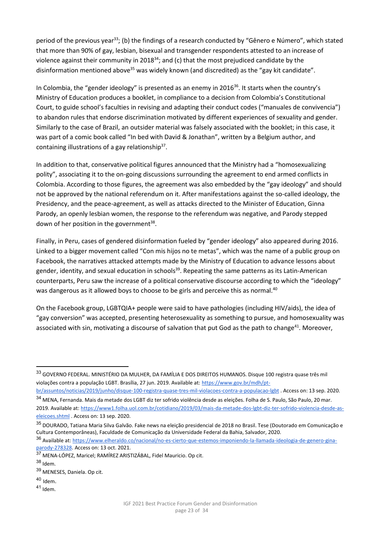period of the previous year<sup>33</sup>; (b) the findings of a research conducted by "Gênero e Número", which stated that more than 90% of gay, lesbian, bisexual and transgender respondents attested to an increase of violence against their community in 2018<sup>34</sup>; and (c) that the most prejudiced candidate by the disinformation mentioned above<sup>35</sup> was widely known (and discredited) as the "gay kit candidate".

In Colombia, the "gender ideology" is presented as an enemy in 2016<sup>36</sup>. It starts when the country's Ministry of Education produces a booklet, in compliance to a decision from Colombia's Constitutional Court, to guide school's faculties in revising and adapting their conduct codes ("manuales de convivencia") to abandon rules that endorse discrimination motivated by different experiences of sexuality and gender. Similarly to the case of Brazil, an outsider material was falsely associated with the booklet; in this case, it was part of a comic book called "In bed with David & Jonathan", written by a Belgium author, and containing illustrations of a gay relationship $37$ .

In addition to that, conservative political figures announced that the Ministry had a "homosexualizing polity", associating it to the on-going discussions surrounding the agreement to end armed conflicts in Colombia. According to those figures, the agreement was also embedded by the "gay ideology" and should not be approved by the national referendum on it. After manifestations against the so-called ideology, the Presidency, and the peace-agreement, as well as attacks directed to the Minister of Education, Ginna Parody, an openly lesbian women, the response to the referendum was negative, and Parody stepped down of her position in the government $^{38}$ .

Finally, in Peru, cases of gendered disinformation fueled by "gender ideology" also appeared during 2016. Linked to a bigger movement called "Con mis hijos no te metas", which was the name of a public group on Facebook, the narratives attacked attempts made by the Ministry of Education to advance lessons about gender, identity, and sexual education in schools<sup>39</sup>. Repeating the same patterns as its Latin-American counterparts, Peru saw the increase of a political conservative discourse according to which the "ideology" was dangerous as it allowed boys to choose to be girls and perceive this as normal.<sup>40</sup>

On the Facebook group, LGBTQIA+ people were said to have pathologies (including HIV/aids), the idea of "gay conversion" was accepted, presenting heterosexuality as something to pursue, and homosexuality was associated with sin, motivating a discourse of salvation that put God as the path to change<sup>41</sup>. Moreover,

 $40$  Idem.

<sup>33</sup> GOVERNO FEDERAL. MINISTÉRIO DA MULHER, DA FAMÍLIA E DOS DIREITOS HUMANOS. Disque 100 registra quase três mil violações contra a população LGBT. Brasília, 27 jun. 2019. Available at[: https://www.gov.br/mdh/pt-](https://www.gov.br/mdh/pt-br/assuntos/noticias/2019/junho/disque-100-registra-quase-tres-mil-violacoes-contra-a-populacao-lgbt)

[br/assuntos/noticias/2019/junho/disque-100-registra-quase-tres-mil-violacoes-contra-a-populacao-lgbt .](https://www.gov.br/mdh/pt-br/assuntos/noticias/2019/junho/disque-100-registra-quase-tres-mil-violacoes-contra-a-populacao-lgbt) Access on: 13 sep. 2020. <sup>34</sup> MENA, Fernanda. Mais da metade dos LGBT diz ter sofrido violência desde as eleições. Folha de S. Paulo, São Paulo, 20 mar.

<sup>2019.</sup> Available at[: https://www1.folha.uol.com.br/cotidiano/2019/03/mais-da-metade-dos-lgbt-diz-ter-sofrido-violencia-desde-as](https://www1.folha.uol.com.br/cotidiano/2019/03/mais-da-metade-dos-lgbt-diz-ter-sofrido-violencia-desde-as-eleicoes.shtml)[eleicoes.shtml](https://www1.folha.uol.com.br/cotidiano/2019/03/mais-da-metade-dos-lgbt-diz-ter-sofrido-violencia-desde-as-eleicoes.shtml) . Access on: 13 sep. 2020.

<sup>&</sup>lt;sup>35</sup> DOURADO. Tatiana Maria Silva Galvão. Fake news na eleição presidencial de 2018 no Brasil. Tese (Doutorado em Comunicação e Cultura Contemporâneas), Faculdade de Comunicação da Universidade Federal da Bahia, Salvador, 2020.

<sup>36</sup> Available at[: https://www.elheraldo.co/nacional/no-es-cierto-que-estemos-imponiendo-la-llamada-ideologia-de-genero-gina](https://www.elheraldo.co/nacional/no-es-cierto-que-estemos-imponiendo-la-llamada-ideologia-de-genero-gina-parody-278328)[parody-278328.](https://www.elheraldo.co/nacional/no-es-cierto-que-estemos-imponiendo-la-llamada-ideologia-de-genero-gina-parody-278328) Access on: 13 oct. 2021.

<sup>37</sup> MENA-LÓPEZ, Maricel; RAMÍREZ ARISTIZÁBAL, Fidel Mauricio. Op cit.

<sup>38</sup> Idem.

<sup>39</sup> MENESES, Daniela. Op cit.

<sup>41</sup> Idem.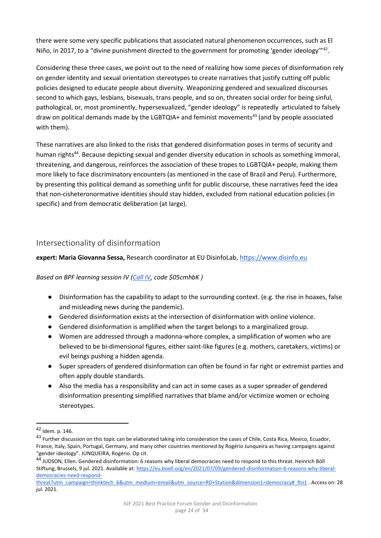there were some very specific publications that associated natural phenomenon occurrences, such as El Niño, in 2017, to a "divine punishment directed to the government for promoting 'gender ideology"<sup>42</sup>.

Considering these three cases, we point out to the need of realizing how some pieces of disinformation rely on gender identity and sexual orientation stereotypes to create narratives that justify cutting off public policies designed to educate people about diversity. Weaponizing gendered and sexualized discourses second to which gays, lesbians, bisexuals, trans people, and so on, threaten social order for being sinful, pathological, or, most prominently, hypersexualized, "gender ideology" is repeatedly articulated to falsely draw on political demands made by the LGBTQIA+ and feminist movements<sup>43</sup> (and by people associated with them).

These narratives are also linked to the risks that gendered disinformation poses in terms of security and human rights<sup>44</sup>. Because depicting sexual and gender diversity education in schools as something immoral, threatening, and dangerous, reinforces the association of these tropes to LGBTQIA+ people, making them more likely to face discriminatory encounters (as mentioned in the case of Brazil and Peru). Furthermore, by presenting this political demand as something unfit for public discourse, these narratives feed the idea that non-cisheteronormative identities should stay hidden, excluded from national education policies (in specific) and from democratic deliberation (at large).

#### <span id="page-23-0"></span>Intersectionality of disinformation

**expert: Maria Giovanna Sessa,** Research coordinator at EU DisinfoLab[, https://www.disinfo.eu](https://www.disinfo.eu/)

#### *Based on BPF learning session IV [\(Call IV,](https://intgovforum.zoom.us/rec/play/qADdRwtadbr3l8hvHpZe-c8TML355LzPx7hCcr6SLVe62UpU9TWkRf7wR-ClCXbKrvWJJVTWu4peXEu4.vpfYav5MGE-oKoqb) code \$05cmhbK )*

- Disinformation has the capability to adapt to the surrounding context. (e.g. the rise in hoaxes, false and misleading news during the pandemic).
- Gendered disinformation exists at the intersection of disinformation with online violence.
- Gendered disinformation is amplified when the target belongs to a marginalized group.
- Women are addressed through a madonna-whore complex, a simplification of women who are believed to be bi-dimensional figures, either saint-like figures (e.g. mothers, caretakers, victims) or evil beings pushing a hidden agenda.
- Super spreaders of gendered disinformation can often be found in far right or extremist parties and often apply double standards.
- Also the media has a responsibility and can act in some cases as a super spreader of gendered disinformation presenting simplified narratives that blame and/or victimize women or echoing stereotypes.

<sup>42</sup> Idem. p. 146.

<sup>&</sup>lt;sup>43</sup> Further discussion on this topic can be elaborated taking into consideration the cases of Chile, Costa Rica, Mexico, Ecuador, France, Italy, Spain, Portugal, Germany, and many other countries mentioned by Rogério Junqueira as having campaigns against "gender ideology". JUNQUEIRA, Rogério. Op cit.

<sup>44</sup> JUDSON, Ellen. Gendered disinformation: 6 reasons why liberal democracies need to respond to this threat. Heinrich Böll Stiftung, Brussels, 9 jul. 2021. Available at[: https://eu.boell.org/en/2021/07/09/gendered-disinformation-6-reasons-why-liberal](https://eu.boell.org/en/2021/07/09/gendered-disinformation-6-reasons-why-liberal-democracies-need-respond-threat?utm_campaign=thinktech_6&utm_medium=email&utm_source=RD+Station&dimension1=democracy#_ftn1)[democracies-need-respond-](https://eu.boell.org/en/2021/07/09/gendered-disinformation-6-reasons-why-liberal-democracies-need-respond-threat?utm_campaign=thinktech_6&utm_medium=email&utm_source=RD+Station&dimension1=democracy#_ftn1)

[threat?utm\\_campaign=thinktech\\_6&utm\\_medium=email&utm\\_source=RD+Station&dimension1=democracy#\\_ftn1](https://eu.boell.org/en/2021/07/09/gendered-disinformation-6-reasons-why-liberal-democracies-need-respond-threat?utm_campaign=thinktech_6&utm_medium=email&utm_source=RD+Station&dimension1=democracy#_ftn1) . Access on: 28 jul. 2021.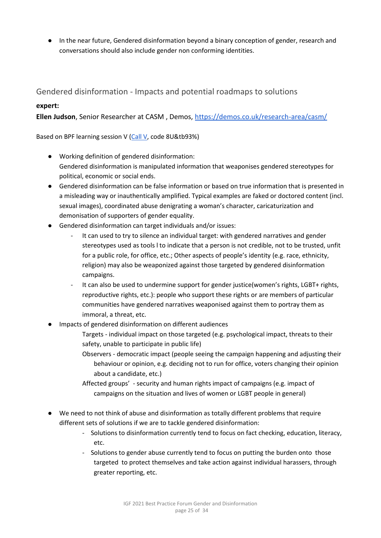● In the near future, Gendered disinformation beyond a binary conception of gender, research and conversations should also include gender non conforming identities.

<span id="page-24-0"></span>Gendered disinformation - Impacts and potential roadmaps to solutions

#### **expert:**

**Ellen Judson**, Senior Researcher at CASM , Demos,<https://demos.co.uk/research-area/casm/>

Based on BPF learning session V [\(Call V,](https://intgovforum.zoom.us/rec/share/Zj9scCzkU_16s5TgFwtFVgQapZyeqPmk8csISF7r1QbXY0bEOxjZfGtL_NXZqJOQ.emm6OTINleQshsFD?startTime=1627048692000) code 8U&tb93%)

- Working definition of gendered disinformation: Gendered disinformation is manipulated information that weaponises gendered stereotypes for political, economic or social ends.
- Gendered disinformation can be false information or based on true information that is presented in a misleading way or inauthentically amplified. Typical examples are faked or doctored content (incl. sexual images), coordinated abuse denigrating a woman's character, caricaturization and demonisation of supporters of gender equality.
- Gendered disinformation can target individuals and/or issues:
	- It can used to try to silence an individual target: with gendered narratives and gender stereotypes used as tools l to indicate that a person is not credible, not to be trusted, unfit for a public role, for office, etc.; Other aspects of people's identity (e.g. race, ethnicity, religion) may also be weaponized against those targeted by gendered disinformation campaigns.
	- It can also be used to undermine support for gender justice(women's rights, LGBT+ rights, reproductive rights, etc.): people who support these rights or are members of particular communities have gendered narratives weaponised against them to portray them as immoral, a threat, etc.
- Impacts of gendered disinformation on different audiences
	- Targets individual impact on those targeted (e.g. psychological impact, threats to their safety, unable to participate in public life)
	- Observers democratic impact (people seeing the campaign happening and adjusting their behaviour or opinion, e.g. deciding not to run for office, voters changing their opinion about a candidate, etc.)
	- Affected groups' security and human rights impact of campaigns (e.g. impact of campaigns on the situation and lives of women or LGBT people in general)
- We need to not think of abuse and disinformation as totally different problems that require different sets of solutions if we are to tackle gendered disinformation:
	- Solutions to disinformation currently tend to focus on fact checking, education, literacy, etc.
	- Solutions to gender abuse currently tend to focus on putting the burden onto those targeted to protect themselves and take action against individual harassers, through greater reporting, etc.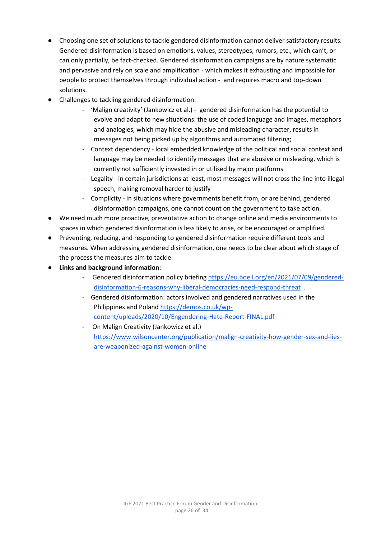- Choosing one set of solutions to tackle gendered disinformation cannot deliver satisfactory results. Gendered disinformation is based on emotions, values, stereotypes, rumors, etc., which can't, or can only partially, be fact-checked. Gendered disinformation campaigns are by nature systematic and pervasive and rely on scale and amplification - which makes it exhausting and impossible for people to protect themselves through individual action - and requires macro and top-down solutions.
- Challenges to tackling gendered disinformation:
	- 'Malign creativity' (Jankowicz et al.) gendered disinformation has the potential to evolve and adapt to new situations: the use of coded language and images, metaphors and analogies, which may hide the abusive and misleading character, results in messages not being picked up by algorithms and automated filtering;
	- Context dependency local embedded knowledge of the political and social context and language may be needed to identify messages that are abusive or misleading, which is currently not sufficiently invested in or utilised by major platforms
	- Legality in certain jurisdictions at least, most messages will not cross the line into illegal speech, making removal harder to justify
	- Complicity in situations where governments benefit from, or are behind, gendered disinformation campaigns, one cannot count on the government to take action.
- We need much more proactive, preventative action to change online and media environments to spaces in which gendered disinformation is less likely to arise, or be encouraged or amplified.
- Preventing, reducing, and responding to gendered disinformation require different tools and measures. When addressing gendered disinformation, one needs to be clear about which stage of the process the measures aim to tackle.
- **Links and background information**:
	- Gendered disinformation policy briefing [https://eu.boell.org/en/2021/07/09/gendered](https://eu.boell.org/en/2021/07/09/gendered-disinformation-6-reasons-why-liberal-democracies-need-respond-threat)[disinformation-6-reasons-why-liberal-democracies-need-respond-threat](https://eu.boell.org/en/2021/07/09/gendered-disinformation-6-reasons-why-liberal-democracies-need-respond-threat) .
	- Gendered disinformation: actors involved and gendered narratives used in the Philippines and Polan[d https://demos.co.uk/wp](https://demos.co.uk/wp-content/uploads/2020/10/Engendering-Hate-Report-FINAL.pdf)[content/uploads/2020/10/Engendering-Hate-Report-FINAL.pdf](https://demos.co.uk/wp-content/uploads/2020/10/Engendering-Hate-Report-FINAL.pdf)
	- On Malign Creativity (Jankowicz et al.) [https://www.wilsoncenter.org/publication/malign-creativity-how-gender-sex-and-lies](https://www.wilsoncenter.org/publication/malign-creativity-how-gender-sex-and-lies-are-weaponized-against-women-online)[are-weaponized-against-women-online](https://www.wilsoncenter.org/publication/malign-creativity-how-gender-sex-and-lies-are-weaponized-against-women-online)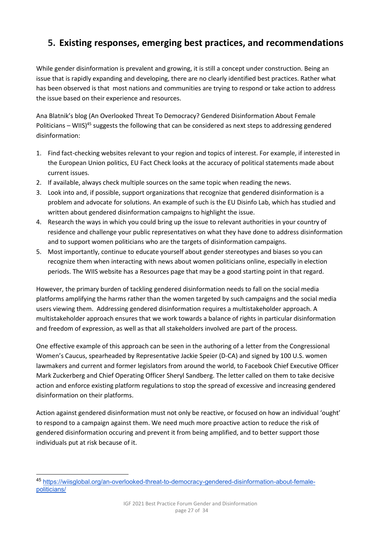# <span id="page-26-0"></span>**5. Existing responses, emerging best practices, and recommendations**

While gender disinformation is prevalent and growing, it is still a concept under construction. Being an issue that is rapidly expanding and developing, there are no clearly identified best practices. Rather what has been observed is that most nations and communities are trying to respond or take action to address the issue based on their experience and resources.

Ana Blatnik's blog (An Overlooked Threat To Democracy? Gendered Disinformation About Female Politicians – WIIS)<sup>45</sup> suggests the following that can be considered as next steps to addressing gendered disinformation:

- 1. Find fact-checking websites relevant to your region and topics of interest. For example, if interested in the European Union politics, EU Fact Check looks at the accuracy of political statements made about current issues.
- 2. If available, always check multiple sources on the same topic when reading the news.
- 3. Look into and, if possible, support organizations that recognize that gendered disinformation is a problem and advocate for solutions. An example of such is the EU Disinfo Lab, which has studied and written about gendered disinformation campaigns to highlight the issue.
- 4. Research the ways in which you could bring up the issue to relevant authorities in your country of residence and challenge your public representatives on what they have done to address disinformation and to support women politicians who are the targets of disinformation campaigns.
- 5. Most importantly, continue to educate yourself about gender stereotypes and biases so you can recognize them when interacting with news about women politicians online, especially in election periods. The WIIS website has a Resources page that may be a good starting point in that regard.

However, the primary burden of tackling gendered disinformation needs to fall on the social media platforms amplifying the harms rather than the women targeted by such campaigns and the social media users viewing them. Addressing gendered disinformation requires a multistakeholder approach. A multistakeholder approach ensures that we work towards a balance of rights in particular disinformation and freedom of expression, as well as that all stakeholders involved are part of the process.

One effective example of this approach can be seen in the authoring of a [letter](https://speier.house.gov/2020/8/democratic-women-s-caucus-speaker-pelosi-send-letter-to-facebook-demanding-it-stop-the-spread-of-gendered-disinformation-and-misogynistic-attacks-against-women-leaders) from the Congressional Women's Caucus, spearheaded by Representative Jackie Speier (D-CA) and signed by 100 U.S. women lawmakers and current and former legislators from around the world, to Facebook Chief Executive Officer Mark Zuckerberg and Chief Operating Officer Sheryl Sandberg. The letter called on them to take decisive action and enforce existing platform regulations to stop the spread of excessive and increasing gendered disinformation on their platforms.

Action against gendered disinformation must not only be reactive, or focused on how an individual 'ought' to respond to a campaign against them. We need much more proactive action to reduce the risk of gendered disinformation occuring and prevent it from being amplified, and to better support those individuals put at risk because of it.

<sup>45</sup> [https://wiisglobal.org/an-overlooked-threat-to-democracy-gendered-disinformation-about-female](https://wiisglobal.org/an-overlooked-threat-to-democracy-gendered-disinformation-about-female-politicians/)[politicians/](https://wiisglobal.org/an-overlooked-threat-to-democracy-gendered-disinformation-about-female-politicians/)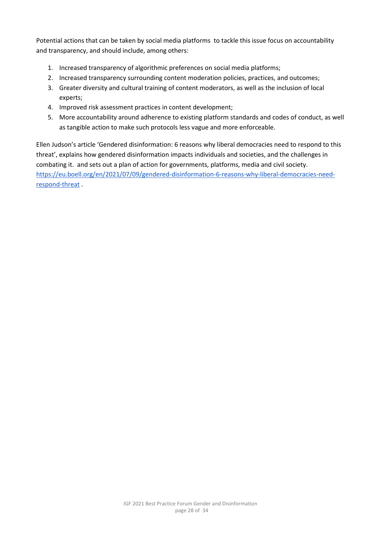Potential actions that can be taken by social media platforms to tackle this issue focus on accountability and transparency, and should include, among others:

- 1. Increased transparency of algorithmic preferences on social media platforms;
- 2. Increased transparency surrounding content moderation policies, practices, and outcomes;
- 3. Greater diversity and cultural training of content moderators, as well as the inclusion of local experts;
- 4. Improved risk assessment practices in content development;
- 5. More accountability around adherence to existing platform standards and codes of conduct, as well as tangible action to make such protocols less vague and more enforceable.

Ellen Judson's article 'Gendered disinformation: 6 reasons why liberal democracies need to respond to this threat', explains how gendered disinformation impacts individuals and societies, and the challenges in combating it. and sets out a plan of action for governments, platforms, media and civil society. [https://eu.boell.org/en/2021/07/09/gendered-disinformation-6-reasons-why-liberal-democracies-need](https://eu.boell.org/en/2021/07/09/gendered-disinformation-6-reasons-why-liberal-democracies-need-respond-threat)[respond-threat](https://eu.boell.org/en/2021/07/09/gendered-disinformation-6-reasons-why-liberal-democracies-need-respond-threat) .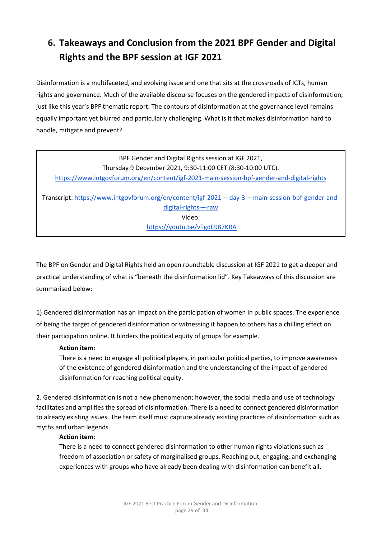# <span id="page-28-0"></span>**6. Takeaways and Conclusion from the 2021 BPF Gender and Digital Rights and the BPF session at IGF 2021**

Disinformation is a multifaceted, and evolving issue and one that sits at the crossroads of ICTs, human rights and governance. Much of the available discourse focuses on the gendered impacts of disinformation, just like this year's BPF thematic report. The contours of disinformation at the governance level remains equally important yet blurred and particularly challenging. What is it that makes disinformation hard to handle, mitigate and prevent?

| BPF Gender and Digital Rights session at IGF 2021,                                                |
|---------------------------------------------------------------------------------------------------|
| Thursday 9 December 2021, 9:30-11:00 CET (8:30-10:00 UTC).                                        |
| https://www.intgovforum.org/en/content/igf-2021-main-session-bpf-gender-and-digital-rights        |
|                                                                                                   |
| Transcript: https://www.intgovforum.org/en/content/igf-2021--day-3---main-session-bpf-gender-and- |

[digital-rights-](https://www.intgovforum.org/en/content/igf-2021-%E2%80%93-day-3-%E2%80%93-main-session-bpf-gender-and-digital-rights-%E2%80%93-raw)–-raw Video: <https://youtu.be/vTgdE987KRA>

The BPF on Gender and Digital Rights held an open roundtable discussion at IGF 2021 to get a deeper and practical understanding of what is "beneath the disinformation lid". Key Takeaways of this discussion are summarised below:

1) Gendered disinformation has an impact on the participation of women in public spaces. The experience of being the target of gendered disinformation or witnessing it happen to others has a chilling effect on their participation online. It hinders the political equity of groups for example.

#### **Action item:**

There is a need to engage all political players, in particular political parties, to improve awareness of the existence of gendered disinformation and the understanding of the impact of gendered disinformation for reaching political equity.

2. Gendered disinformation is not a new phenomenon; however, the social media and use of technology facilitates and amplifies the spread of disinformation. There is a need to connect gendered disinformation to already existing issues. The term itself must capture already existing practices of disinformation such as myths and urban legends.

#### **Action item:**

There is a need to connect gendered disinformation to other human rights violations such as freedom of association or safety of marginalised groups. Reaching out, engaging, and exchanging experiences with groups who have already been dealing with disinformation can benefit all.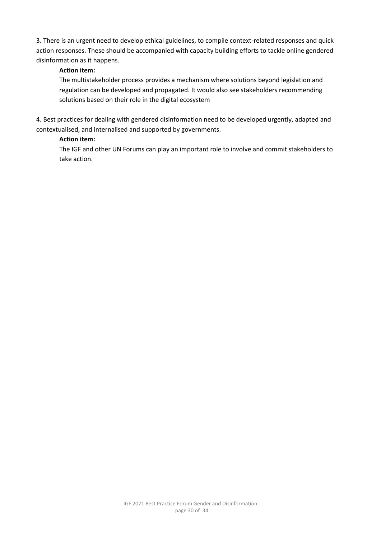3. There is an urgent need to develop ethical guidelines, to compile context-related responses and quick action responses. These should be accompanied with capacity building efforts to tackle online gendered disinformation as it happens.

#### **Action item:**

The multistakeholder process provides a mechanism where solutions beyond legislation and regulation can be developed and propagated. It would also see stakeholders recommending solutions based on their role in the digital ecosystem

4. Best practices for dealing with gendered disinformation need to be developed urgently, adapted and contextualised, and internalised and supported by governments.

#### **Action item:**

The IGF and other UN Forums can play an important role to involve and commit stakeholders to take action.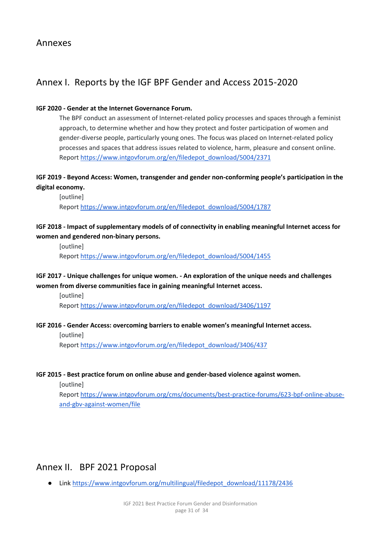# <span id="page-30-1"></span><span id="page-30-0"></span>Annex I. Reports by the IGF BPF Gender and Access 2015-2020

#### **IGF 2020 - Gender at the Internet Governance Forum.**

The BPF conduct an assessment of Internet-related policy processes and spaces through a feminist approach, to determine whether and how they protect and foster participation of women and gender-diverse people, particularly young ones. The focus was placed on Internet-related policy processes and spaces that address issues related to violence, harm, pleasure and consent online. Repor[t https://www.intgovforum.org/en/filedepot\\_download/5004/2371](https://www.intgovforum.org/en/filedepot_download/5004/2371) 

#### **IGF 2019 - Beyond Access: Women, transgender and gender non-conforming people's participation in the digital economy.**

[outline] Repor[t https://www.intgovforum.org/en/filedepot\\_download/5004/1787](https://www.intgovforum.org/en/filedepot_download/5004/1787) 

#### **IGF 2018 - Impact of supplementary models of of connectivity in enabling meaningful Internet access for women and gendered non-binary persons.**

[outline] Repor[t https://www.intgovforum.org/en/filedepot\\_download/5004/1455](https://www.intgovforum.org/en/filedepot_download/5004/1455) 

#### **IGF 2017 - Unique challenges for unique women. - An exploration of the unique needs and challenges women from diverse communities face in gaining meaningful Internet access.**

[outline]

Repor[t https://www.intgovforum.org/en/filedepot\\_download/3406/1197](https://www.intgovforum.org/en/filedepot_download/3406/1197)

#### **IGF 2016 - Gender Access: overcoming barriers to enable women's meaningful Internet access.**

[outline] Repor[t https://www.intgovforum.org/en/filedepot\\_download/3406/437](https://www.intgovforum.org/en/filedepot_download/3406/437)

#### **IGF 2015 - Best practice forum on online abuse and gender-based violence against women.**

[outline]

Repor[t https://www.intgovforum.org/cms/documents/best-practice-forums/623-bpf-online-abuse](https://www.intgovforum.org/cms/documents/best-practice-forums/623-bpf-online-abuse-and-gbv-against-women/file)[and-gbv-against-women/file](https://www.intgovforum.org/cms/documents/best-practice-forums/623-bpf-online-abuse-and-gbv-against-women/file)

# <span id="page-30-2"></span>Annex II. BPF 2021 Proposal

● Link https://www.intgovforum.org/multilingual/filedepot\_download/11178/2436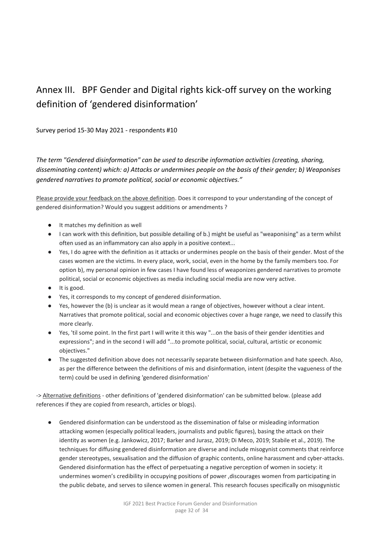# <span id="page-31-0"></span>Annex III. BPF Gender and Digital rights kick-off survey on the working definition of 'gendered disinformation'

#### Survey period 15-30 May 2021 - respondents #10

*The term "Gendered disinformation" can be used to describe information activities (creating, sharing, disseminating content) which: a) Attacks or undermines people on the basis of their gender; b) Weaponises gendered narratives to promote political, social or economic objectives."*

Please provide your feedback on the above definition. Does it correspond to your understanding of the concept of gendered disinformation? Would you suggest additions or amendments ?

- It matches my definition as well
- I can work with this definition, but possible detailing of b.) might be useful as "weaponising" as a term whilst often used as an inflammatory can also apply in a positive context...
- Yes, I do agree with the definition as it attacks or undermines people on the basis of their gender. Most of the cases women are the victims. In every place, work, social, even in the home by the family members too. For option b), my personal opinion in few cases I have found less of weaponizes gendered narratives to promote political, social or economic objectives as media including social media are now very active.
- It is good.
- Yes, it corresponds to my concept of gendered disinformation.
- Yes, however the (b) is unclear as it would mean a range of objectives, however without a clear intent. Narratives that promote political, social and economic objectives cover a huge range, we need to classify this more clearly.
- Yes, 'til some point. In the first part I will write it this way "...on the basis of their gender identities and expressions"; and in the second I will add "...to promote political, social, cultural, artistic or economic objectives."
- The suggested definition above does not necessarily separate between disinformation and hate speech. Also, as per the difference between the definitions of mis and disinformation, intent (despite the vagueness of the term) could be used in defining 'gendered disinformation'

-> Alternative definitions - other definitions of 'gendered disinformation' can be submitted below. (please add references if they are copied from research, articles or blogs).

● Gendered disinformation can be understood as the dissemination of false or misleading information attacking women (especially political leaders, journalists and public figures), basing the attack on their identity as women (e.g. Jankowicz, 2017; Barker and Jurasz, 2019; Di Meco, 2019; Stabile et al., 2019). The techniques for diffusing gendered disinformation are diverse and include misogynist comments that reinforce gender stereotypes, sexualisation and the diffusion of graphic contents, online harassment and cyber-attacks. Gendered disinformation has the effect of perpetuating a negative perception of women in society: it undermines women's credibility in occupying positions of power ,discourages women from participating in the public debate, and serves to silence women in general. This research focuses specifically on misogynistic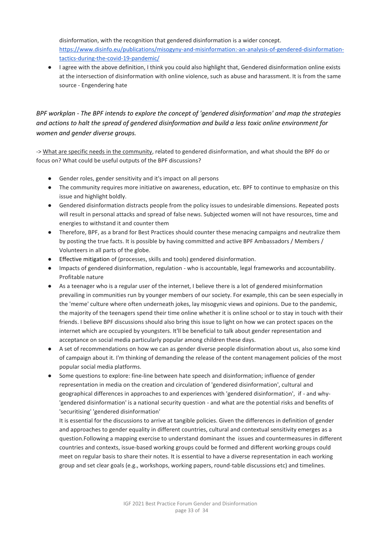disinformation, with the recognition that gendered disinformation is a wider concept. [https://www.disinfo.eu/publications/misogyny-and-misinformation:-an-analysis-of-gendered-disinformation](https://www.disinfo.eu/publications/misogyny-and-misinformation:-an-analysis-of-gendered-disinformation-tactics-during-the-covid-19-pandemic/)[tactics-during-the-covid-19-pandemic/](https://www.disinfo.eu/publications/misogyny-and-misinformation:-an-analysis-of-gendered-disinformation-tactics-during-the-covid-19-pandemic/) 

● I agree with the above definition, I think you could also highlight that, Gendered disinformation online exists at the intersection of disinformation with online violence, such as abuse and harassment. It is from the same source - Engendering hate

*BPF workplan - The BPF intends to explore the concept of 'gendered disinformation' and map the strategies and actions to halt the spread of gendered disinformation and build a less toxic online environment for women and gender diverse groups.* 

-> What are specific needs in the community, related to gendered disinformation, and what should the BPF do or focus on? What could be useful outputs of the BPF discussions?

- Gender roles, gender sensitivity and it's impact on all persons
- The community requires more initiative on awareness, education, etc. BPF to continue to emphasize on this issue and highlight boldly.
- Gendered disinformation distracts people from the policy issues to undesirable dimensions. Repeated posts will result in personal attacks and spread of false news. Subjected women will not have resources, time and energies to withstand it and counter them
- Therefore, BPF, as a brand for Best Practices should counter these menacing campaigns and neutralize them by posting the true facts. It is possible by having committed and active BPF Ambassadors / Members / Volunteers in all parts of the globe.
- Effective mitigation of (processes, skills and tools) gendered disinformation.
- Impacts of gendered disinformation, regulation who is accountable, legal frameworks and accountability. Profitable nature
- As a teenager who is a regular user of the internet, I believe there is a lot of gendered misinformation prevailing in communities run by younger members of our society. For example, this can be seen especially in the 'meme' culture where often underneath jokes, lay misogynic views and opinions. Due to the pandemic, the majority of the teenagers spend their time online whether it is online school or to stay in touch with their friends. I believe BPF discussions should also bring this issue to light on how we can protect spaces on the internet which are occupied by youngsters. It'll be beneficial to talk about gender representation and acceptance on social media particularly popular among children these days.
- A set of recommendations on how we can as gender diverse people disinformation about us, also some kind of campaign about it. I'm thinking of demanding the release of the content management policies of the most popular social media platforms.
- Some questions to explore: fine-line between hate speech and disinformation; influence of gender representation in media on the creation and circulation of 'gendered disinformation', cultural and geographical differences in approaches to and experiences with 'gendered disinformation', if - and why- 'gendered disinformation' is a national security question - and what are the potential risks and benefits of 'securitising' 'gendered disinformation'

It is essential for the discussions to arrive at tangible policies. Given the differences in definition of gender and approaches to gender equality in different countries, cultural and contextual sensitivity emerges as a question.Following a mapping exercise to understand dominant the issues and countermeasures in different countries and contexts, issue-based working groups could be formed and different working groups could meet on regular basis to share their notes. It is essential to have a diverse representation in each working group and set clear goals (e.g., workshops, working papers, round-table discussions etc) and timelines.